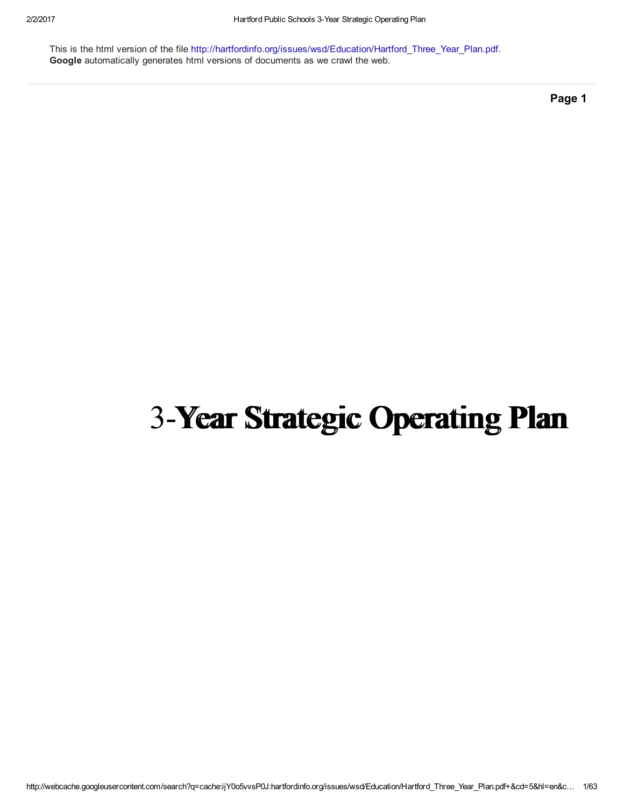This is the html version of the file [http://hartfordinfo.org/issues/wsd/Education/Hartford\\_Three\\_Year\\_Plan.pdf](http://hartfordinfo.org/issues/wsd/Education/Hartford_Three_Year_Plan.pdf). Google automatically generates html versions of documents as we crawl the web.

Page 1

# 3-Year Strategic Operating Plan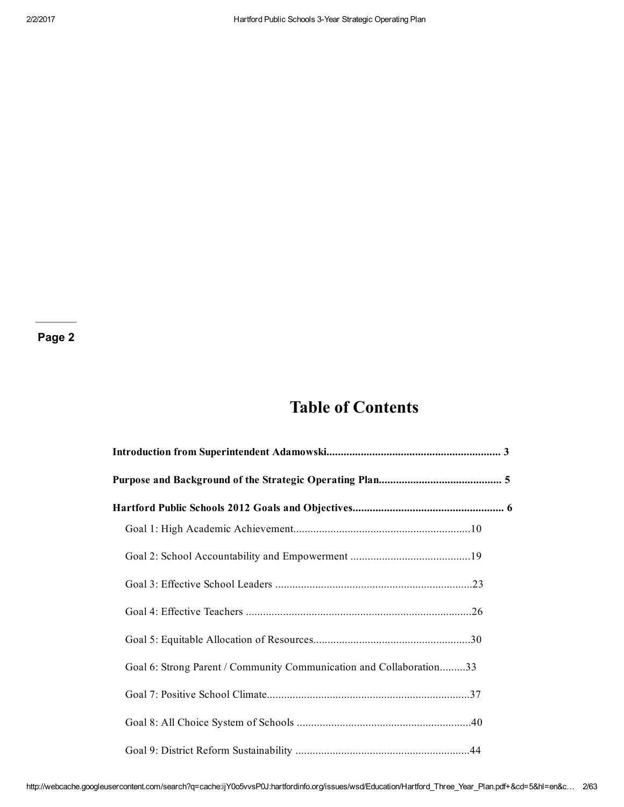## Page 2

## Table of Contents

| Goal 6: Strong Parent / Community Communication and Collaboration33 |  |  |
|---------------------------------------------------------------------|--|--|
|                                                                     |  |  |
|                                                                     |  |  |
|                                                                     |  |  |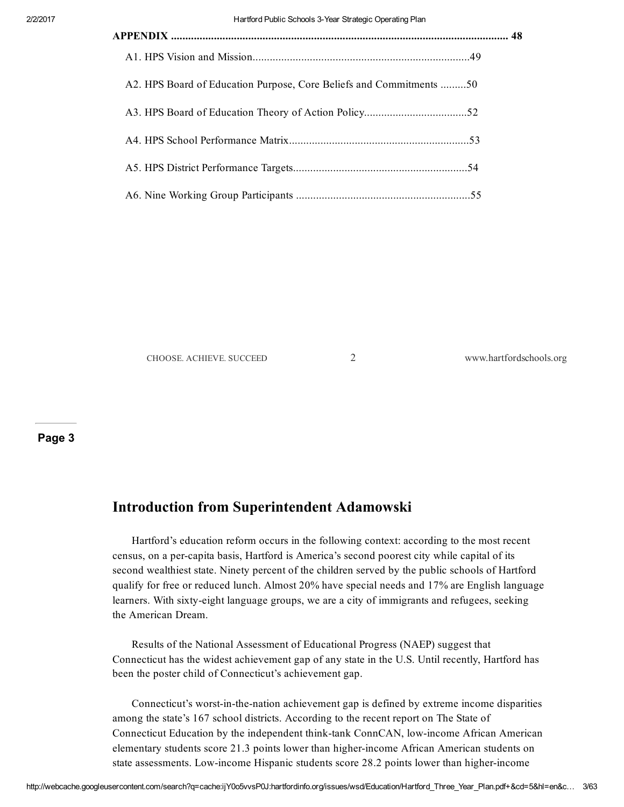| A2. HPS Board of Education Purpose, Core Beliefs and Commitments 50 |  |
|---------------------------------------------------------------------|--|
|                                                                     |  |
|                                                                     |  |
|                                                                     |  |
|                                                                     |  |

CHOOSE. ACHIEVE. SUCCEED 2 www.hartfordschools.org

Page 3

## Introduction from Superintendent Adamowski

Hartford's education reform occurs in the following context: according to the most recent census, on a percapita basis, Hartford is America's second poorest city while capital of its second wealthiest state. Ninety percent of the children served by the public schools of Hartford qualify for free or reduced lunch. Almost 20% have special needs and 17% are English language learners. With sixty-eight language groups, we are a city of immigrants and refugees, seeking the American Dream.

Results of the National Assessment of Educational Progress (NAEP) suggest that Connecticut has the widest achievement gap of any state in the U.S. Until recently, Hartford has been the poster child of Connecticut's achievement gap.

Connecticut's worst-in-the-nation achievement gap is defined by extreme income disparities among the state's 167 school districts. According to the recent report on The State of Connecticut Education by the independent think-tank ConnCAN, low-income African American elementary students score 21.3 points lower than higher-income African American students on state assessments. Low-income Hispanic students score 28.2 points lower than higher-income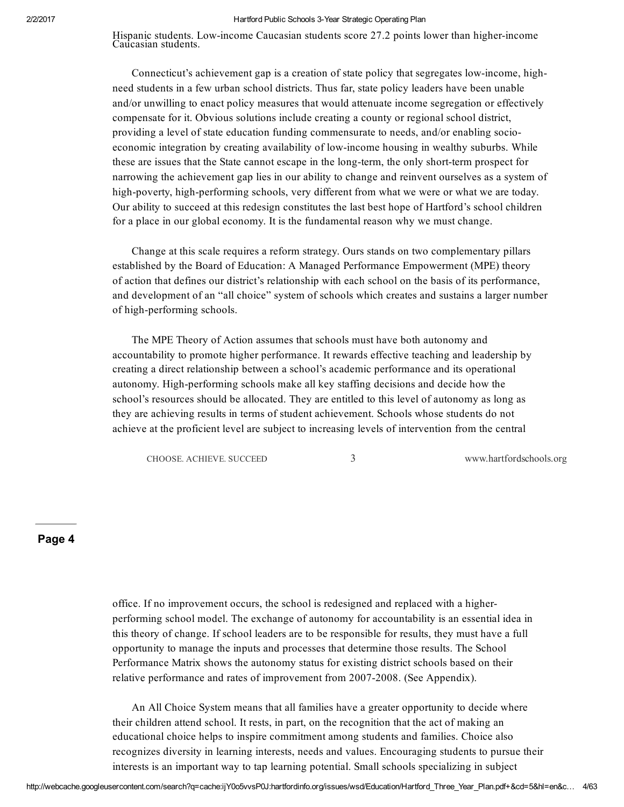Hispanic students. Low-income Caucasian students score 27.2 points lower than higher-income Caucasian students.

Connecticut's achievement gap is a creation of state policy that segregates lowincome, highneed students in a few urban school districts. Thus far, state policy leaders have been unable and/or unwilling to enact policy measures that would attenuate income segregation or effectively compensate for it. Obvious solutions include creating a county or regional school district, providing a level of state education funding commensurate to needs, and/or enabling socioeconomic integration by creating availability of low-income housing in wealthy suburbs. While these are issues that the State cannot escape in the long-term, the only short-term prospect for narrowing the achievement gap lies in our ability to change and reinvent ourselves as a system of high-poverty, high-performing schools, very different from what we were or what we are today. Our ability to succeed at this redesign constitutes the last best hope of Hartford's school children for a place in our global economy. It is the fundamental reason why we must change.

Change at this scale requires a reform strategy. Ours stands on two complementary pillars established by the Board of Education: A Managed Performance Empowerment (MPE) theory of action that defines our district's relationship with each school on the basis of its performance, and development of an "all choice" system of schools which creates and sustains a larger number of high-performing schools.

The MPE Theory of Action assumes that schools must have both autonomy and accountability to promote higher performance. It rewards effective teaching and leadership by creating a direct relationship between a school's academic performance and its operational autonomy. High-performing schools make all key staffing decisions and decide how the school's resources should be allocated. They are entitled to this level of autonomy as long as they are achieving results in terms of student achievement. Schools whose students do not achieve at the proficient level are subject to increasing levels of intervention from the central

CHOOSE. ACHIEVE. SUCCEED 3 www.hartfordschools.org

#### Page 4

office. If no improvement occurs, the school is redesigned and replaced with a higherperforming school model. The exchange of autonomy for accountability is an essential idea in this theory of change. If school leaders are to be responsible for results, they must have a full opportunity to manage the inputs and processes that determine those results. The School Performance Matrix shows the autonomy status for existing district schools based on their relative performance and rates of improvement from 2007-2008. (See Appendix).

An All Choice System means that all families have a greater opportunity to decide where their children attend school. It rests, in part, on the recognition that the act of making an educational choice helps to inspire commitment among students and families. Choice also recognizes diversity in learning interests, needs and values. Encouraging students to pursue their interests is an important way to tap learning potential. Small schools specializing in subject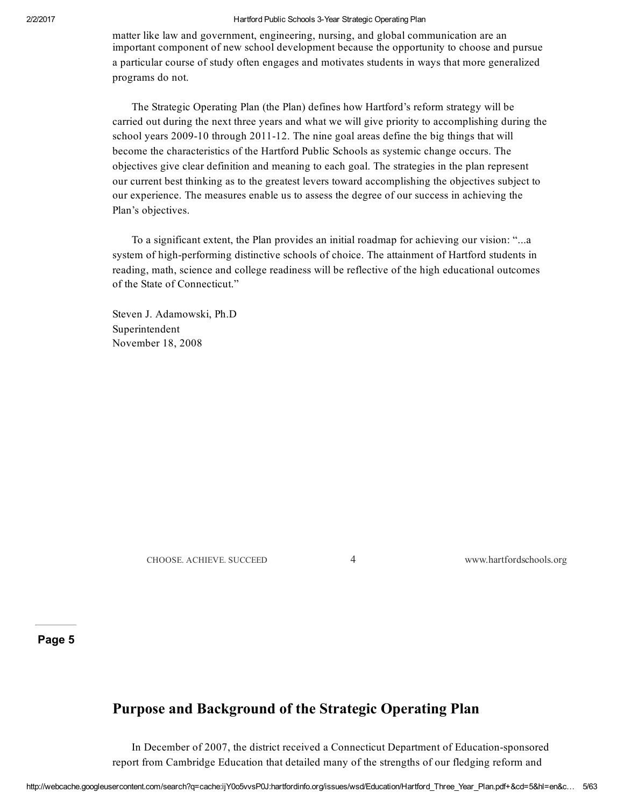matter like law and government, engineering, nursing, and global communication are an important component of new school development because the opportunity to choose and pursue a particular course of study often engages and motivates students in ways that more generalized programs do not.

The Strategic Operating Plan (the Plan) defines how Hartford's reform strategy will be carried out during the next three years and what we will give priority to accomplishing during the school years  $2009-10$  through  $2011-12$ . The nine goal areas define the big things that will become the characteristics of the Hartford Public Schools as systemic change occurs. The objectives give clear definition and meaning to each goal. The strategies in the plan represent our current best thinking as to the greatest levers toward accomplishing the objectives subject to our experience. The measures enable us to assess the degree of our success in achieving the Plan's objectives.

To a significant extent, the Plan provides an initial roadmap for achieving our vision: "...a system of high-performing distinctive schools of choice. The attainment of Hartford students in reading, math, science and college readiness will be reflective of the high educational outcomes of the State of Connecticut."

Steven J. Adamowski, Ph.D Superintendent November 18, 2008

CHOOSE. ACHIEVE. SUCCEED 4 www.hartfordschools.org

Page 5

## Purpose and Background of the Strategic Operating Plan

In December of 2007, the district received a Connecticut Department of Education-sponsored report from Cambridge Education that detailed many of the strengths of our fledging reform and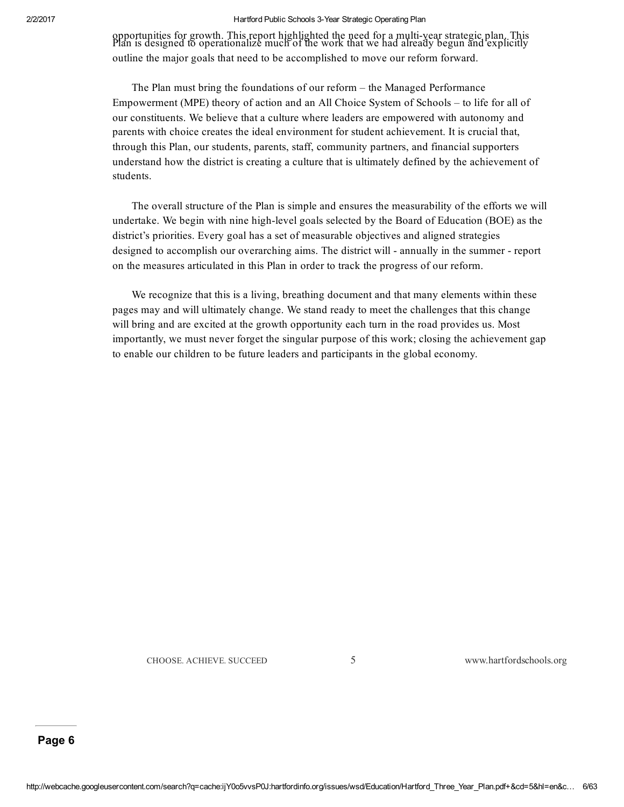opportunities for growth. This report highlighted the need for a multi-year strategic plan. This <br>Plan is designed to operationalize much of the work that we had already begun and explicitly outline the major goals that need to be accomplished to move our reform forward.

The Plan must bring the foundations of our reform – the Managed Performance Empowerment (MPE) theory of action and an All Choice System of Schools – to life for all of our constituents. We believe that a culture where leaders are empowered with autonomy and parents with choice creates the ideal environment for student achievement. It is crucial that, through this Plan, our students, parents, staff, community partners, and financial supporters understand how the district is creating a culture that is ultimately defined by the achievement of students.

The overall structure of the Plan is simple and ensures the measurability of the efforts we will undertake. We begin with nine high-level goals selected by the Board of Education (BOE) as the district's priorities. Every goal has a set of measurable objectives and aligned strategies designed to accomplish our overarching aims. The district will - annually in the summer - report on the measures articulated in this Plan in order to track the progress of our reform.

We recognize that this is a living, breathing document and that many elements within these pages may and will ultimately change. We stand ready to meet the challenges that this change will bring and are excited at the growth opportunity each turn in the road provides us. Most importantly, we must never forget the singular purpose of this work; closing the achievement gap to enable our children to be future leaders and participants in the global economy.

CHOOSE. ACHIEVE. SUCCEED 5 www.hartfordschools.org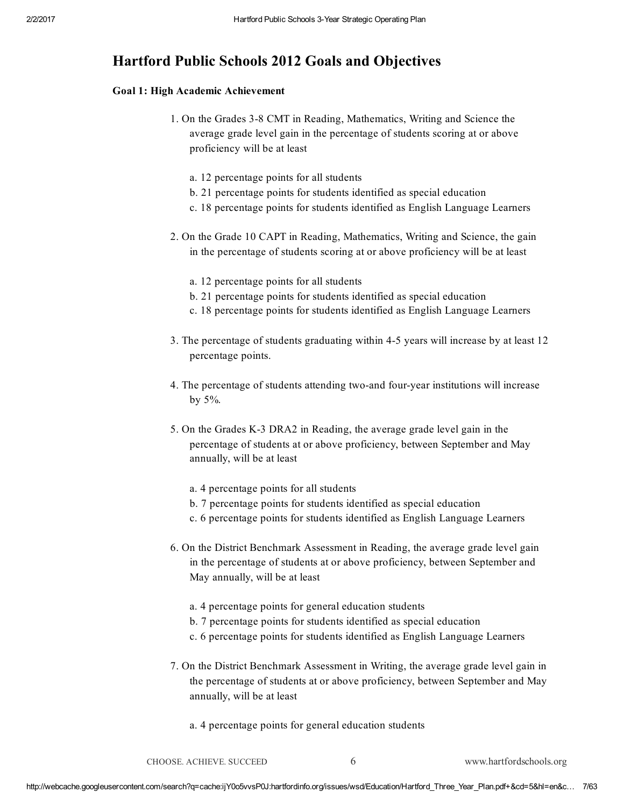## Hartford Public Schools 2012 Goals and Objectives

#### Goal 1: High Academic Achievement

- 1. On the Grades 3-8 CMT in Reading, Mathematics, Writing and Science the average grade level gain in the percentage of students scoring at or above proficiency will be at least
	- a. 12 percentage points for all students
	- b. 21 percentage points for students identified as special education
	- c. 18 percentage points for students identified as English Language Learners
- 2. On the Grade 10 CAPT in Reading, Mathematics, Writing and Science, the gain in the percentage of students scoring at or above proficiency will be at least
	- a. 12 percentage points for all students
	- b. 21 percentage points for students identified as special education
	- c. 18 percentage points for students identified as English Language Learners
- 3. The percentage of students graduating within 45 years will increase by at least 12 percentage points.
- 4. The percentage of students attending two-and four-year institutions will increase by 5%.
- 5. On the Grades K-3 DRA2 in Reading, the average grade level gain in the percentage of students at or above proficiency, between September and May annually, will be at least
	- a. 4 percentage points for all students
	- b. 7 percentage points for students identified as special education
	- c. 6 percentage points for students identified as English Language Learners
- 6. On the District Benchmark Assessment in Reading, the average grade level gain in the percentage of students at or above proficiency, between September and May annually, will be at least
	- a. 4 percentage points for general education students
	- b. 7 percentage points for students identified as special education
	- c. 6 percentage points for students identified as English Language Learners
- 7. On the District Benchmark Assessment in Writing, the average grade level gain in the percentage of students at or above proficiency, between September and May annually, will be at least
	- a. 4 percentage points for general education students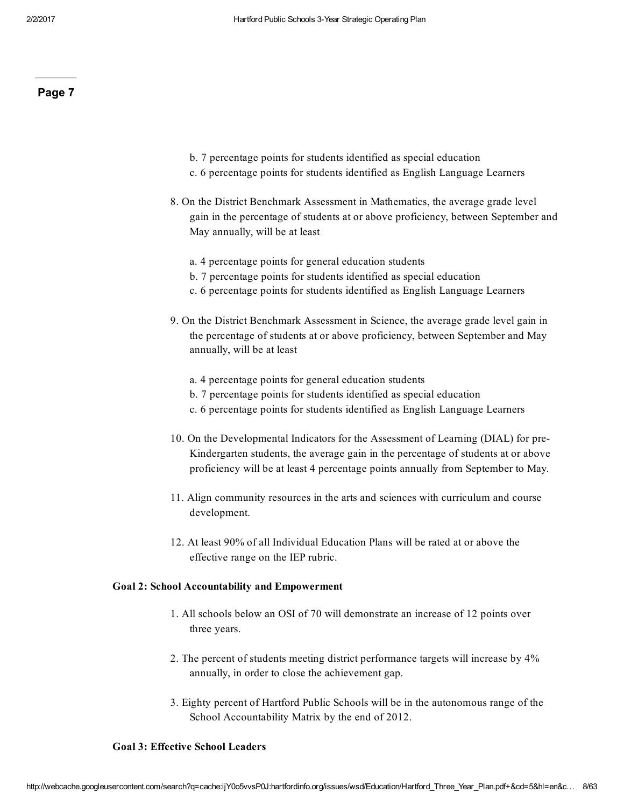#### Page 7

- b. 7 percentage points for students identified as special education
- c. 6 percentage points for students identified as English Language Learners
- 8. On the District Benchmark Assessment in Mathematics, the average grade level gain in the percentage of students at or above proficiency, between September and May annually, will be at least
	- a. 4 percentage points for general education students
	- b. 7 percentage points for students identified as special education
	- c. 6 percentage points for students identified as English Language Learners
- 9. On the District Benchmark Assessment in Science, the average grade level gain in the percentage of students at or above proficiency, between September and May annually, will be at least
	- a. 4 percentage points for general education students
	- b. 7 percentage points for students identified as special education
	- c. 6 percentage points for students identified as English Language Learners
- 10. On the Developmental Indicators for the Assessment of Learning (DIAL) for pre-Kindergarten students, the average gain in the percentage of students at or above proficiency will be at least 4 percentage points annually from September to May.
- 11. Align community resources in the arts and sciences with curriculum and course development.
- 12. At least 90% of all Individual Education Plans will be rated at or above the effective range on the IEP rubric.

#### Goal 2: School Accountability and Empowerment

- 1. All schools below an OSI of 70 will demonstrate an increase of 12 points over three years.
- 2. The percent of students meeting district performance targets will increase by 4% annually, in order to close the achievement gap.
- 3. Eighty percent of Hartford Public Schools will be in the autonomous range of the School Accountability Matrix by the end of 2012.

#### Goal 3: Effective School Leaders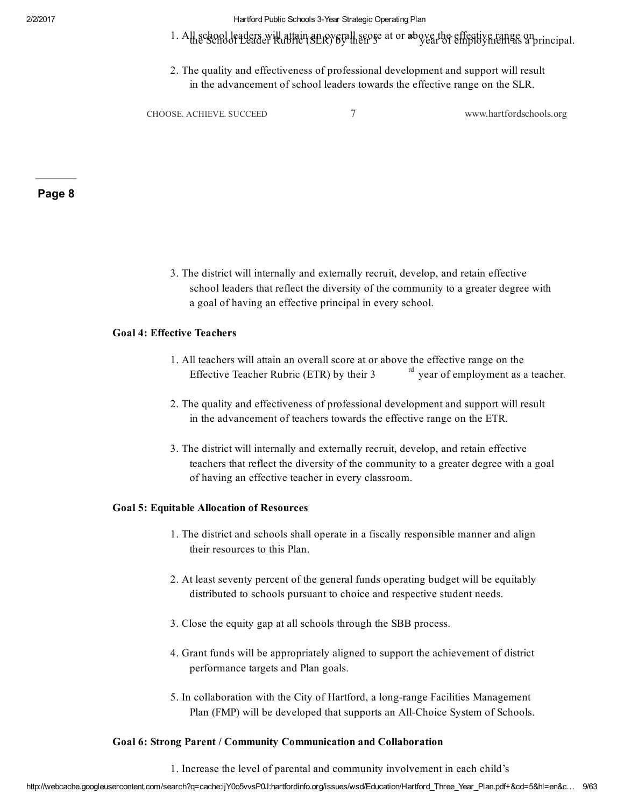- 1. All school leaders will attain an averall score at or above the effective range on rincipal.
- 2. The quality and effectiveness of professional development and support will result in the advancement of school leaders towards the effective range on the SLR.

CHOOSE. ACHIEVE. SUCCEED 7 www.hartfordschools.org

#### Page 8

3. The district will internally and externally recruit, develop, and retain effective school leaders that reflect the diversity of the community to a greater degree with a goal of having an effective principal in every school.

#### Goal 4: Effective Teachers

- 1. All teachers will attain an overall score at or above the effective range on the Effective Teacher Rubric (ETR) by their 3 <sup>rd</sup> year of employment as a teacher.
- 2. The quality and effectiveness of professional development and support will result in the advancement of teachers towards the effective range on the ETR.
- 3. The district will internally and externally recruit, develop, and retain effective teachers that reflect the diversity of the community to a greater degree with a goal of having an effective teacher in every classroom.

#### Goal 5: Equitable Allocation of Resources

- 1. The district and schools shall operate in a fiscally responsible manner and align their resources to this Plan.
- 2. At least seventy percent of the general funds operating budget will be equitably distributed to schools pursuant to choice and respective student needs.
- 3. Close the equity gap at all schools through the SBB process.
- 4. Grant funds will be appropriately aligned to support the achievement of district performance targets and Plan goals.
- 5. In collaboration with the City of Hartford, a long-range Facilities Management Plan (FMP) will be developed that supports an All-Choice System of Schools.

#### Goal 6: Strong Parent / Community Communication and Collaboration

1. Increase the level of parental and community involvement in each child's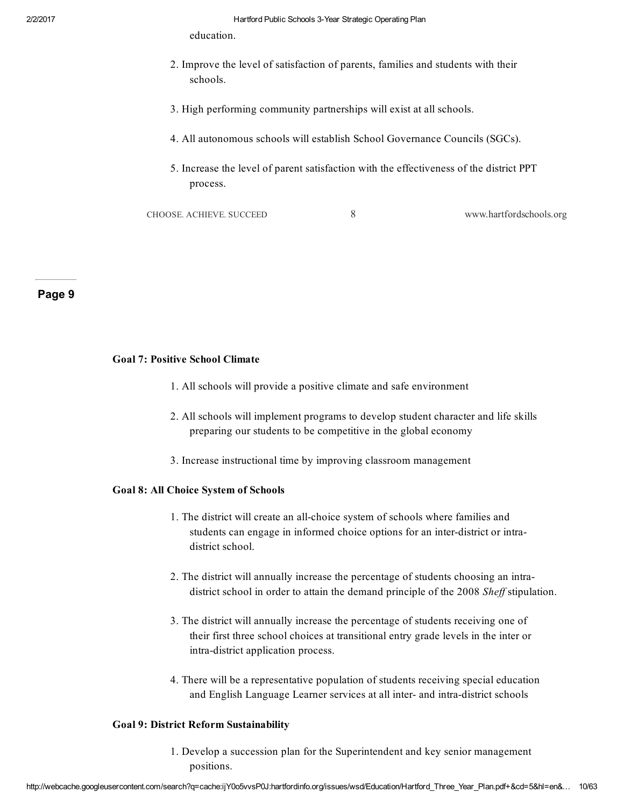education.

- 2. Improve the level of satisfaction of parents, families and students with their schools.
- 3. High performing community partnerships will exist at all schools.
- 4. All autonomous schools will establish School Governance Councils (SGCs).
- 5. Increase the level of parent satisfaction with the effectiveness of the district PPT process.

CHOOSE. ACHIEVE. SUCCEED 8 www.hartfordschools.org

#### Page 9

#### Goal 7: Positive School Climate

- 1. All schools will provide a positive climate and safe environment
- 2. All schools will implement programs to develop student character and life skills preparing our students to be competitive in the global economy
- 3. Increase instructional time by improving classroom management

#### Goal 8: All Choice System of Schools

- 1. The district will create an all-choice system of schools where families and students can engage in informed choice options for an inter-district or intradistrict school.
- 2. The district will annually increase the percentage of students choosing an intradistrict school in order to attain the demand principle of the 2008 *Shef* stipulation.
- 3. The district will annually increase the percentage of students receiving one of their first three school choices at transitional entry grade levels in the inter or intra-district application process.
- 4. There will be a representative population of students receiving special education and English Language Learner services at all inter- and intra-district schools

#### Goal 9: District Reform Sustainability

1. Develop a succession plan for the Superintendent and key senior management positions.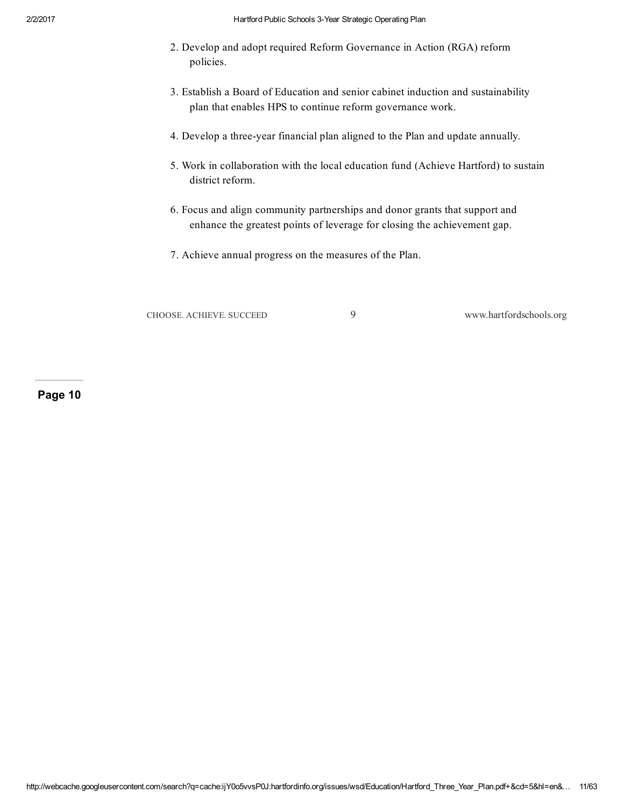- 2. Develop and adopt required Reform Governance in Action (RGA) reform policies.
- 3. Establish a Board of Education and senior cabinet induction and sustainability plan that enables HPS to continue reform governance work.
- 4. Develop a three-year financial plan aligned to the Plan and update annually.
- 5. Work in collaboration with the local education fund (Achieve Hartford) to sustain district reform.
- 6. Focus and align community partnerships and donor grants that support and enhance the greatest points of leverage for closing the achievement gap.
- 7. Achieve annual progress on the measures of the Plan.

CHOOSE. ACHIEVE. SUCCEED 9 www.hartfordschools.org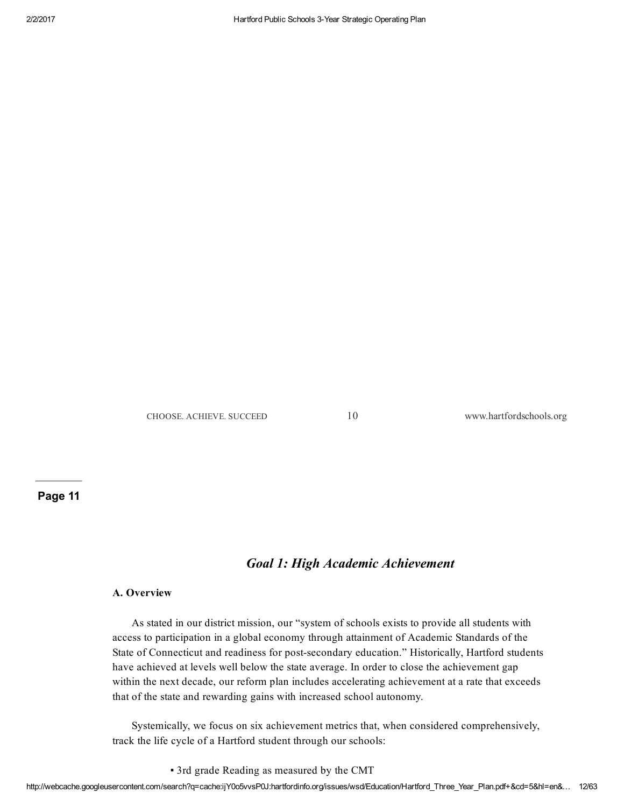CHOOSE. ACHIEVE. SUCCEED 10 www.hartfordschools.org

## Page 11

## *Goal 1: High Academic Achievement*

#### A. Overview

As stated in our district mission, our "system of schools exists to provide all students with access to participation in a global economy through attainment of Academic Standards of the State of Connecticut and readiness for post-secondary education." Historically, Hartford students have achieved at levels well below the state average. In order to close the achievement gap within the next decade, our reform plan includes accelerating achievement at a rate that exceeds that of the state and rewarding gains with increased school autonomy.

Systemically, we focus on six achievement metrics that, when considered comprehensively, track the life cycle of a Hartford student through our schools:

▪ 3rd grade Reading as measured by the CMT

http://webcache.googleusercontent.com/search?q=cache:ijY0o5vvsP0J:hartfordinfo.org/issues/wsd/Education/Hartford\_Three\_Year\_Plan.pdf+&cd=5&hl=en&… 12/63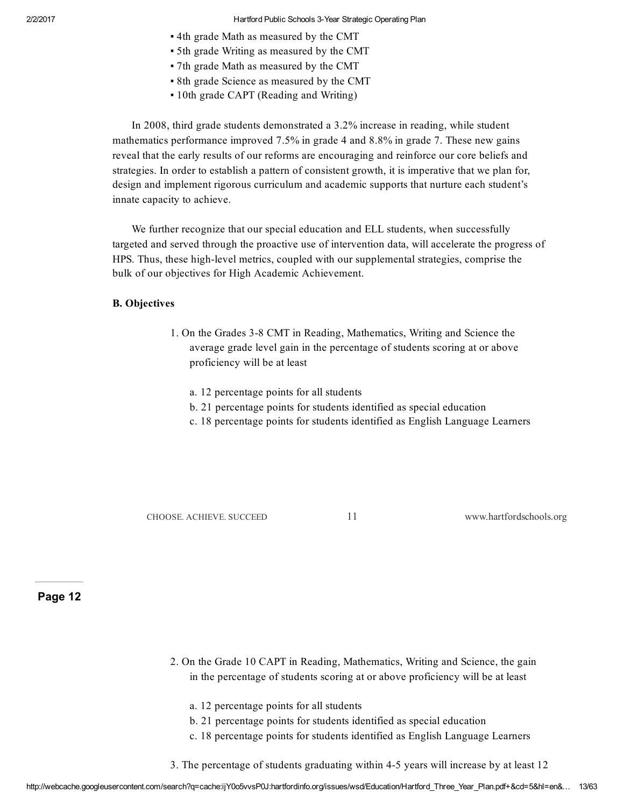- 4th grade Math as measured by the CMT
- 5th grade Writing as measured by the CMT
- 7th grade Math as measured by the CMT
- 8th grade Science as measured by the CMT
- 10th grade CAPT (Reading and Writing)

In 2008, third grade students demonstrated a 3.2% increase in reading, while student mathematics performance improved 7.5% in grade 4 and 8.8% in grade 7. These new gains reveal that the early results of our reforms are encouraging and reinforce our core beliefs and strategies. In order to establish a pattern of consistent growth, it is imperative that we plan for, design and implement rigorous curriculum and academic supports that nurture each student's innate capacity to achieve.

We further recognize that our special education and ELL students, when successfully targeted and served through the proactive use of intervention data, will accelerate the progress of HPS. Thus, these high-level metrics, coupled with our supplemental strategies, comprise the bulk of our objectives for High Academic Achievement.

#### B. Objectives

- 1. On the Grades 3-8 CMT in Reading, Mathematics, Writing and Science the average grade level gain in the percentage of students scoring at or above proficiency will be at least
	- a. 12 percentage points for all students
	- b. 21 percentage points for students identified as special education
	- c. 18 percentage points for students identified as English Language Learners

CHOOSE. ACHIEVE. SUCCEED 11 www.hartfordschools.org

- 2. On the Grade 10 CAPT in Reading, Mathematics, Writing and Science, the gain in the percentage of students scoring at or above proficiency will be at least
	- a. 12 percentage points for all students
	- b. 21 percentage points for students identified as special education
	- c. 18 percentage points for students identified as English Language Learners
- 3. The percentage of students graduating within 45 years will increase by at least 12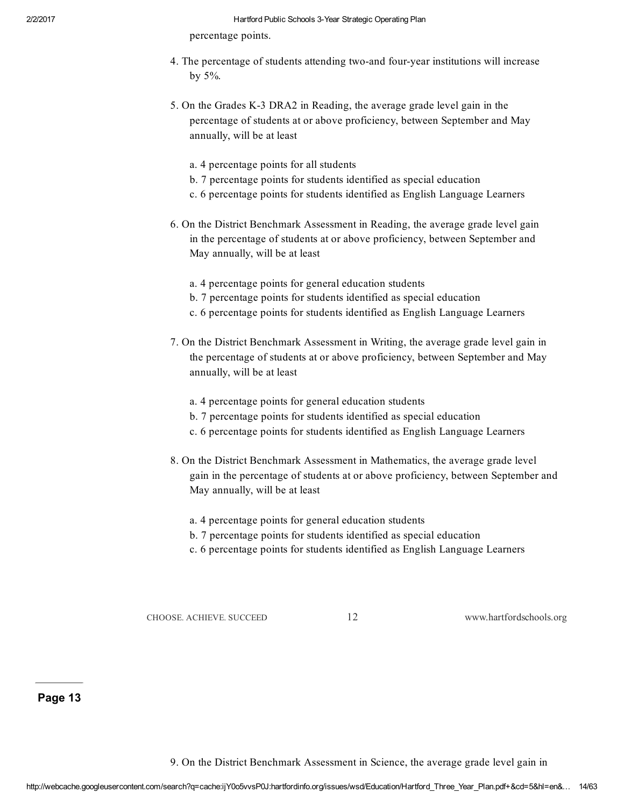percentage points.

- 4. The percentage of students attending two-and four-year institutions will increase by 5%.
- 5. On the Grades K-3 DRA2 in Reading, the average grade level gain in the percentage of students at or above proficiency, between September and May annually, will be at least
	- a. 4 percentage points for all students
	- b. 7 percentage points for students identified as special education
	- c. 6 percentage points for students identified as English Language Learners
- 6. On the District Benchmark Assessment in Reading, the average grade level gain in the percentage of students at or above proficiency, between September and May annually, will be at least
	- a. 4 percentage points for general education students
	- b. 7 percentage points for students identified as special education
	- c. 6 percentage points for students identified as English Language Learners
- 7. On the District Benchmark Assessment in Writing, the average grade level gain in the percentage of students at or above proficiency, between September and May annually, will be at least
	- a. 4 percentage points for general education students
	- b. 7 percentage points for students identified as special education
	- c. 6 percentage points for students identified as English Language Learners
- 8. On the District Benchmark Assessment in Mathematics, the average grade level gain in the percentage of students at or above proficiency, between September and May annually, will be at least
	- a. 4 percentage points for general education students
	- b. 7 percentage points for students identified as special education
	- c. 6 percentage points for students identified as English Language Learners

CHOOSE. ACHIEVE. SUCCEED 12 www.hartfordschools.org

#### Page 13

9. On the District Benchmark Assessment in Science, the average grade level gain in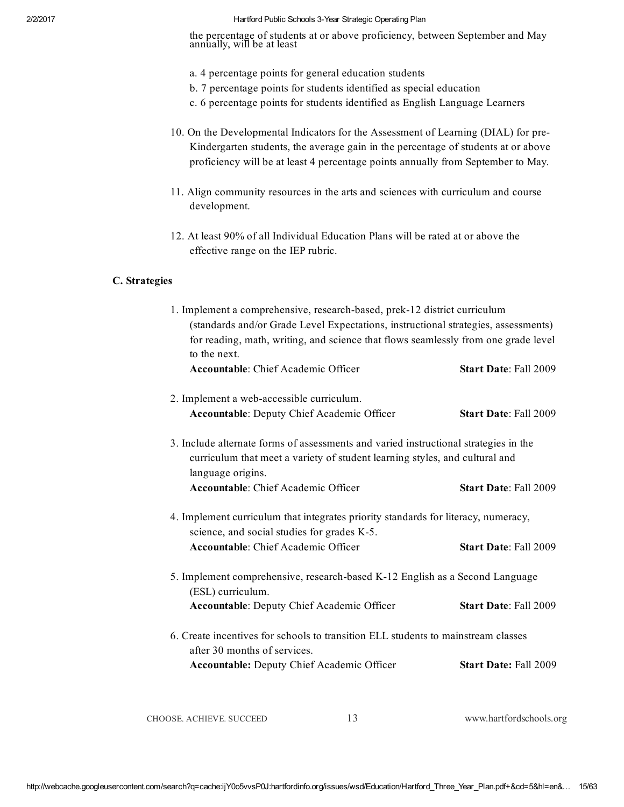the percentage of students at or above proficiency, between September and May annually, will be at least

- a. 4 percentage points for general education students
- b. 7 percentage points for students identified as special education
- c. 6 percentage points for students identified as English Language Learners
- 10. On the Developmental Indicators for the Assessment of Learning (DIAL) for pre-Kindergarten students, the average gain in the percentage of students at or above proficiency will be at least 4 percentage points annually from September to May.
- 11. Align community resources in the arts and sciences with curriculum and course development.
- 12. At least 90% of all Individual Education Plans will be rated at or above the effective range on the IEP rubric.

#### C. Strategies

| 1. Implement a comprehensive, research-based, prek-12 district curriculum<br>(standards and/or Grade Level Expectations, instructional strategies, assessments)<br>for reading, math, writing, and science that flows seamlessly from one grade level<br>to the next. |                              |  |
|-----------------------------------------------------------------------------------------------------------------------------------------------------------------------------------------------------------------------------------------------------------------------|------------------------------|--|
| <b>Accountable:</b> Chief Academic Officer                                                                                                                                                                                                                            | <b>Start Date: Fall 2009</b> |  |
| 2. Implement a web-accessible curriculum.                                                                                                                                                                                                                             |                              |  |
| <b>Accountable: Deputy Chief Academic Officer</b>                                                                                                                                                                                                                     | <b>Start Date: Fall 2009</b> |  |
| 3. Include alternate forms of assessments and varied instructional strategies in the<br>curriculum that meet a variety of student learning styles, and cultural and<br>language origins.                                                                              |                              |  |
| <b>Accountable:</b> Chief Academic Officer                                                                                                                                                                                                                            | <b>Start Date: Fall 2009</b> |  |
| 4. Implement curriculum that integrates priority standards for literacy, numeracy,<br>science, and social studies for grades K-5.                                                                                                                                     |                              |  |
| <b>Accountable:</b> Chief Academic Officer                                                                                                                                                                                                                            | <b>Start Date: Fall 2009</b> |  |
| 5. Implement comprehensive, research-based K-12 English as a Second Language<br>(ESL) curriculum.                                                                                                                                                                     |                              |  |
| <b>Accountable:</b> Deputy Chief Academic Officer                                                                                                                                                                                                                     | <b>Start Date: Fall 2009</b> |  |
| 6. Create incentives for schools to transition ELL students to mainstream classes<br>after 30 months of services.                                                                                                                                                     |                              |  |
| <b>Accountable:</b> Deputy Chief Academic Officer                                                                                                                                                                                                                     | <b>Start Date: Fall 2009</b> |  |
|                                                                                                                                                                                                                                                                       |                              |  |

CHOOSE. ACHIEVE. SUCCEED 13 www.hartfordschools.org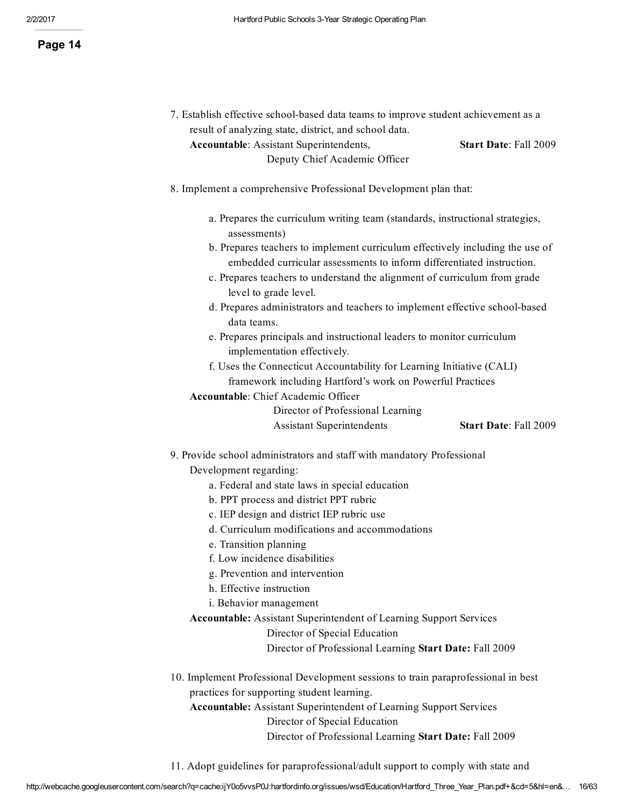- 7. Establish effective school-based data teams to improve student achievement as a result of analyzing state, district, and school data. Accountable: Assistant Superintendents, Start Date: Fall 2009 Deputy Chief Academic Officer 8. Implement a comprehensive Professional Development plan that: a. Prepares the curriculum writing team (standards, instructional strategies, assessments)
	- b. Prepares teachers to implement curriculum effectively including the use of embedded curricular assessments to inform differentiated instruction.
	- c. Prepares teachers to understand the alignment of curriculum from grade level to grade level.
	- d. Prepares administrators and teachers to implement effective school-based data teams.
	- e. Prepares principals and instructional leaders to monitor curriculum implementation effectively.
	- f. Uses the Connecticut Accountability for Learning Initiative (CALI) framework including Hartford's work on Powerful Practices

Accountable: Chief Academic Officer

Director of Professional Learning Assistant Superintendents Start Date: Fall 2009

9. Provide school administrators and staff with mandatory Professional

Development regarding:

- a. Federal and state laws in special education
- b. PPT process and district PPT rubric
- c. IEP design and district IEP rubric use
- d. Curriculum modifications and accommodations
- e. Transition planning
- f. Low incidence disabilities
- g. Prevention and intervention
- h. Effective instruction
- i. Behavior management
- Accountable: Assistant Superintendent of Learning Support Services
	- Director of Special Education

Director of Professional Learning Start Date: Fall 2009

10. Implement Professional Development sessions to train paraprofessional in best practices for supporting student learning.

Accountable: Assistant Superintendent of Learning Support Services

Director of Special Education

Director of Professional Learning Start Date: Fall 2009

11. Adopt guidelines for paraprofessional/adult support to comply with state and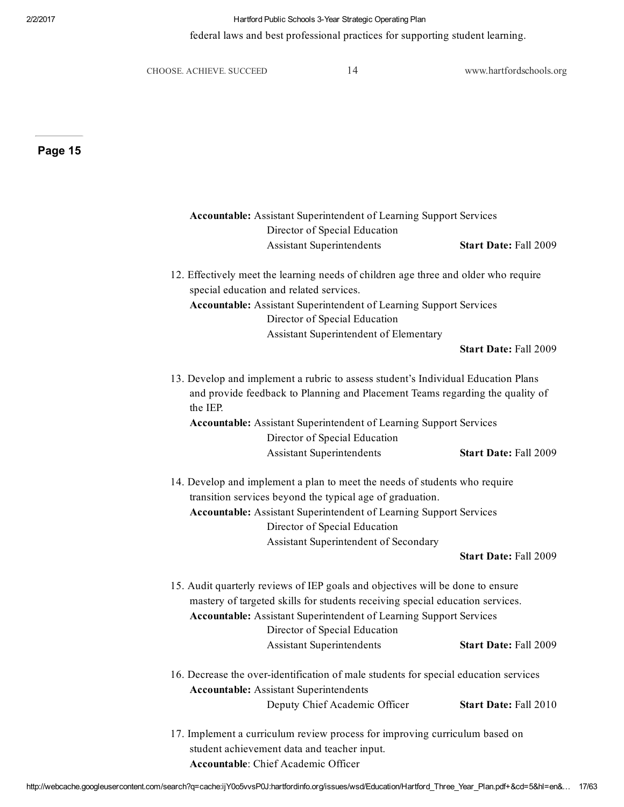federal laws and best professional practices for supporting student learning.

CHOOSE. ACHIEVE. SUCCEED 14 www.hartfordschools.org

Page 15

| <b>Accountable:</b> Assistant Superintendent of Learning Support Services                                                                                                                                            |                              |
|----------------------------------------------------------------------------------------------------------------------------------------------------------------------------------------------------------------------|------------------------------|
| Director of Special Education                                                                                                                                                                                        |                              |
| <b>Assistant Superintendents</b>                                                                                                                                                                                     | <b>Start Date: Fall 2009</b> |
| 12. Effectively meet the learning needs of children age three and older who require<br>special education and related services.                                                                                       |                              |
| <b>Accountable:</b> Assistant Superintendent of Learning Support Services<br>Director of Special Education                                                                                                           |                              |
| Assistant Superintendent of Elementary                                                                                                                                                                               |                              |
|                                                                                                                                                                                                                      | <b>Start Date: Fall 2009</b> |
| 13. Develop and implement a rubric to assess student's Individual Education Plans<br>and provide feedback to Planning and Placement Teams regarding the quality of<br>the IEP.                                       |                              |
| <b>Accountable:</b> Assistant Superintendent of Learning Support Services                                                                                                                                            |                              |
| Director of Special Education                                                                                                                                                                                        |                              |
| <b>Assistant Superintendents</b>                                                                                                                                                                                     | <b>Start Date: Fall 2009</b> |
| 14. Develop and implement a plan to meet the needs of students who require<br>transition services beyond the typical age of graduation.<br><b>Accountable:</b> Assistant Superintendent of Learning Support Services |                              |
| Director of Special Education                                                                                                                                                                                        |                              |
| Assistant Superintendent of Secondary                                                                                                                                                                                | <b>Start Date: Fall 2009</b> |
| 15. Audit quarterly reviews of IEP goals and objectives will be done to ensure                                                                                                                                       |                              |
| mastery of targeted skills for students receiving special education services.                                                                                                                                        |                              |
| <b>Accountable:</b> Assistant Superintendent of Learning Support Services<br>Director of Special Education                                                                                                           |                              |
| <b>Assistant Superintendents</b>                                                                                                                                                                                     | <b>Start Date: Fall 2009</b> |
| 16. Decrease the over-identification of male students for special education services<br><b>Accountable:</b> Assistant Superintendents                                                                                |                              |
| Deputy Chief Academic Officer                                                                                                                                                                                        | <b>Start Date: Fall 2010</b> |
| 17. Implement a curriculum review process for improving curriculum based on<br>student achievement data and teacher input.                                                                                           |                              |

Accountable: Chief Academic Officer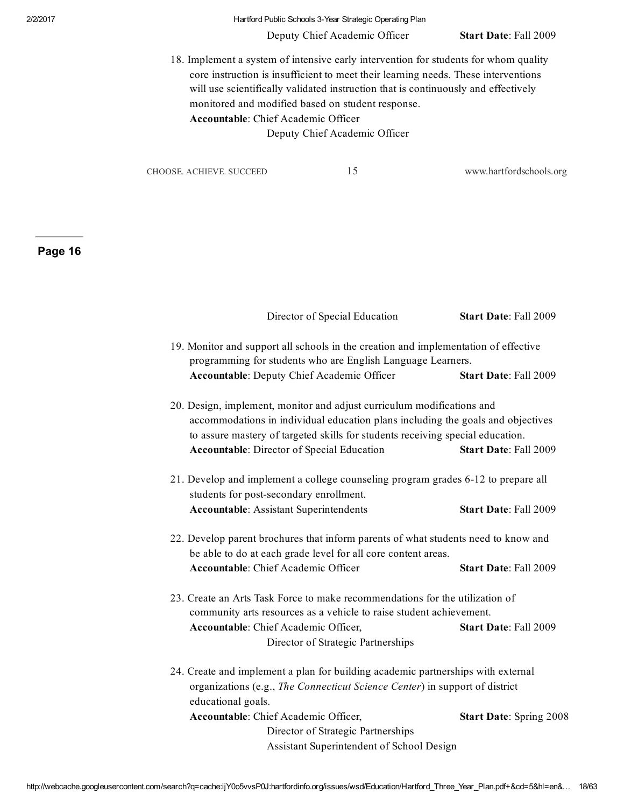Deputy Chief Academic Officer Start Date: Fall 2009

18. Implement a system of intensive early intervention for students for whom quality core instruction is insufficient to meet their learning needs. These interventions will use scientifically validated instruction that is continuously and effectively monitored and modified based on student response. Accountable: Chief Academic Officer

Deputy Chief Academic Officer

CHOOSE. ACHIEVE. SUCCEED 15 www.hartfordschools.org

| Director of Special Education                                                                                                                                                                                                               | Start Date: Fall 2009          |
|---------------------------------------------------------------------------------------------------------------------------------------------------------------------------------------------------------------------------------------------|--------------------------------|
| 19. Monitor and support all schools in the creation and implementation of effective<br>programming for students who are English Language Learners.                                                                                          |                                |
| <b>Accountable: Deputy Chief Academic Officer</b>                                                                                                                                                                                           | Start Date: Fall 2009          |
| 20. Design, implement, monitor and adjust curriculum modifications and<br>accommodations in individual education plans including the goals and objectives<br>to assure mastery of targeted skills for students receiving special education. |                                |
| <b>Accountable:</b> Director of Special Education                                                                                                                                                                                           | Start Date: Fall 2009          |
| 21. Develop and implement a college counseling program grades 6-12 to prepare all<br>students for post-secondary enrollment.                                                                                                                |                                |
| <b>Accountable:</b> Assistant Superintendents                                                                                                                                                                                               | Start Date: Fall 2009          |
| 22. Develop parent brochures that inform parents of what students need to know and<br>be able to do at each grade level for all core content areas.                                                                                         |                                |
| <b>Accountable:</b> Chief Academic Officer                                                                                                                                                                                                  | <b>Start Date: Fall 2009</b>   |
| 23. Create an Arts Task Force to make recommendations for the utilization of<br>community arts resources as a vehicle to raise student achievement.                                                                                         |                                |
| Accountable: Chief Academic Officer,<br>Director of Strategic Partnerships                                                                                                                                                                  | <b>Start Date: Fall 2009</b>   |
| 24. Create and implement a plan for building academic partnerships with external<br>organizations (e.g., The Connecticut Science Center) in support of district                                                                             |                                |
| educational goals.                                                                                                                                                                                                                          |                                |
| Accountable: Chief Academic Officer,<br>Director of Strategic Partnerships<br>Assistant Superintendent of School Design                                                                                                                     | <b>Start Date: Spring 2008</b> |
|                                                                                                                                                                                                                                             |                                |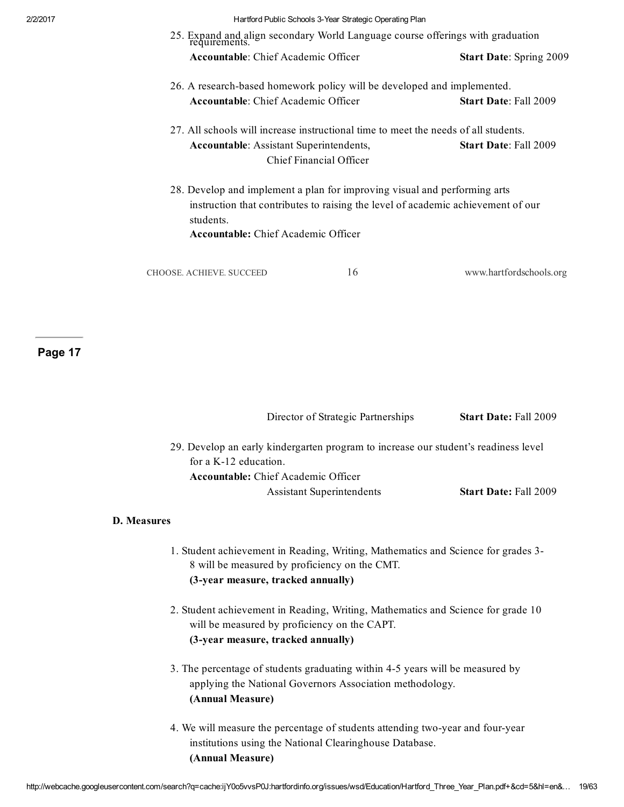| 2/2/2017 |                                                                                                                                                                            | Hartford Public Schools 3-Year Strategic Operating Plan                             |                                |  |
|----------|----------------------------------------------------------------------------------------------------------------------------------------------------------------------------|-------------------------------------------------------------------------------------|--------------------------------|--|
|          | 25. Expand and align secondary World Language course offerings with graduation requirements.                                                                               |                                                                                     |                                |  |
|          | <b>Accountable:</b> Chief Academic Officer                                                                                                                                 |                                                                                     | <b>Start Date: Spring 2009</b> |  |
|          |                                                                                                                                                                            | 26. A research-based homework policy will be developed and implemented.             |                                |  |
|          | <b>Accountable:</b> Chief Academic Officer                                                                                                                                 |                                                                                     | Start Date: Fall 2009          |  |
|          |                                                                                                                                                                            | 27. All schools will increase instructional time to meet the needs of all students. |                                |  |
|          | Accountable: Assistant Superintendents,                                                                                                                                    | Chief Financial Officer                                                             | Start Date: Fall 2009          |  |
|          | 28. Develop and implement a plan for improving visual and performing arts<br>instruction that contributes to raising the level of academic achievement of our<br>students. |                                                                                     |                                |  |
|          | Accountable: Chief Academic Officer                                                                                                                                        |                                                                                     |                                |  |
|          | CHOOSE. ACHIEVE. SUCCEED                                                                                                                                                   | 16                                                                                  | www.hartfordschools.org        |  |
| Page 17  |                                                                                                                                                                            |                                                                                     |                                |  |
|          |                                                                                                                                                                            | Director of Strategic Partnerships                                                  | Start Date: Fall 2009          |  |
|          | 29. Develop an early kindergarten program to increase our student's readiness level<br>for a K-12 education.                                                               |                                                                                     |                                |  |
|          | <b>Accountable:</b> Chief Academic Officer                                                                                                                                 |                                                                                     |                                |  |
|          |                                                                                                                                                                            | <b>Assistant Superintendents</b>                                                    | Start Date: Fall 2009          |  |
|          | <b>D.</b> Measures                                                                                                                                                         |                                                                                     |                                |  |

1. Student achievement in Reading, Writing, Mathematics and Science for grades 3 8 will be measured by proficiency on the CMT. (3-year measure, tracked annually)

- 2. Student achievement in Reading, Writing, Mathematics and Science for grade 10 will be measured by proficiency on the CAPT. (3-year measure, tracked annually)
- 3. The percentage of students graduating within 45 years will be measured by applying the National Governors Association methodology. (Annual Measure)
- 4. We will measure the percentage of students attending two-year and four-year institutions using the National Clearinghouse Database. (Annual Measure)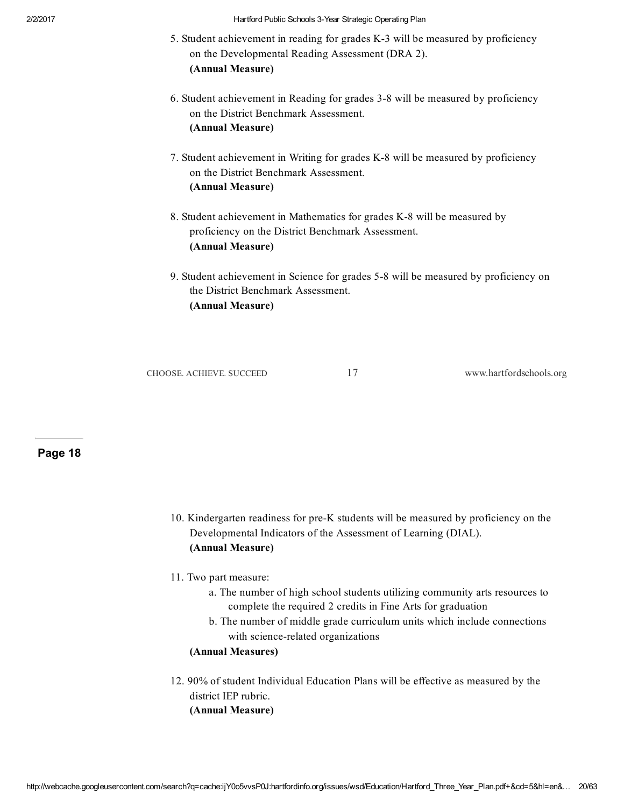- 5. Student achievement in reading for grades K-3 will be measured by proficiency on the Developmental Reading Assessment (DRA 2). (Annual Measure)
- 6. Student achievement in Reading for grades 3-8 will be measured by proficiency on the District Benchmark Assessment. (Annual Measure)
- 7. Student achievement in Writing for grades K-8 will be measured by proficiency on the District Benchmark Assessment. (Annual Measure)
- 8. Student achievement in Mathematics for grades K-8 will be measured by proficiency on the District Benchmark Assessment. (Annual Measure)
- 9. Student achievement in Science for grades 58 will be measured by proficiency on the District Benchmark Assessment. (Annual Measure)

CHOOSE. ACHIEVE. SUCCEED 17 www.hartfordschools.org

Page 18

- 10. Kindergarten readiness for preK students will be measured by proficiency on the Developmental Indicators of the Assessment of Learning (DIAL). (Annual Measure)
- 11. Two part measure:
	- a. The number of high school students utilizing community arts resources to complete the required 2 credits in Fine Arts for graduation
	- b. The number of middle grade curriculum units which include connections with science-related organizations

#### (Annual Measures)

12. 90% of student Individual Education Plans will be effective as measured by the district IEP rubric. (Annual Measure)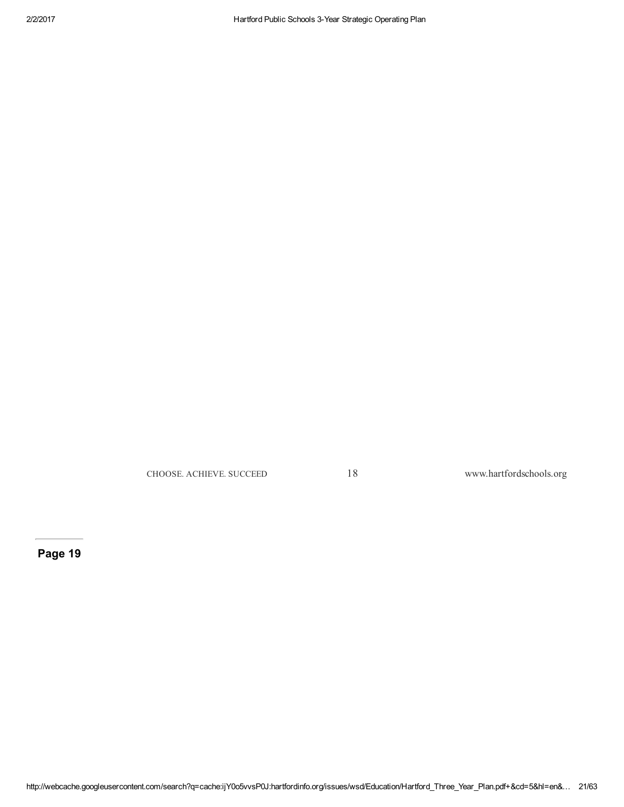CHOOSE. ACHIEVE. SUCCEED 18 www.hartfordschools.org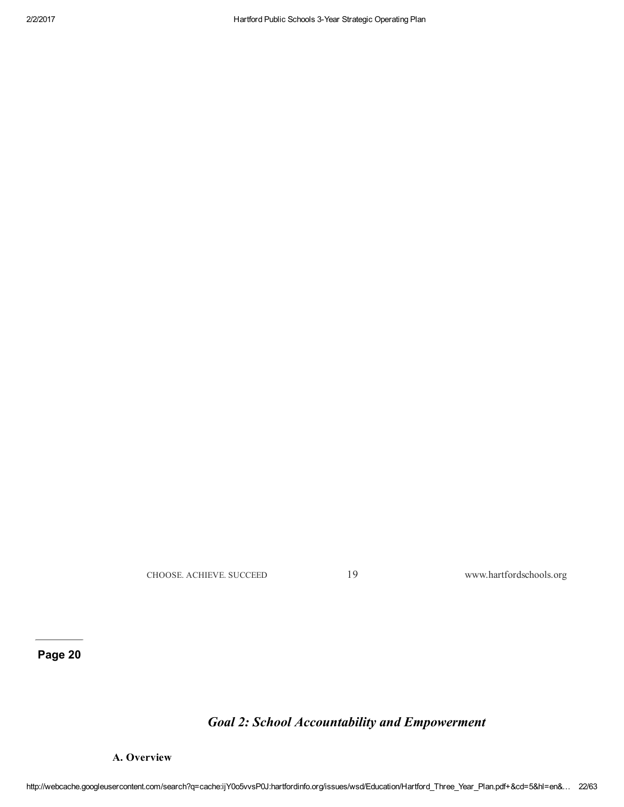CHOOSE. ACHIEVE. SUCCEED 19 www.hartfordschools.org

Page 20

## *Goal 2: School Accountability and Empowerment*

A. Overview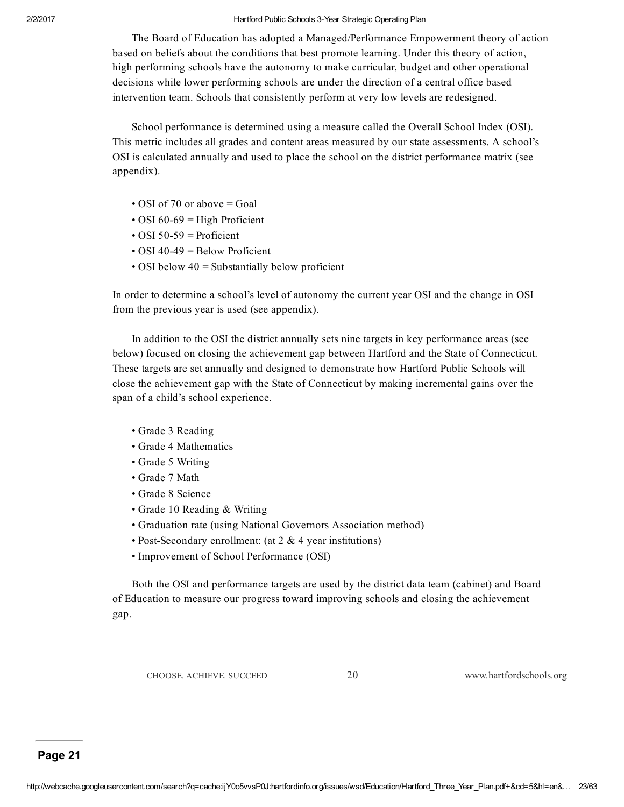The Board of Education has adopted a Managed/Performance Empowerment theory of action based on beliefs about the conditions that best promote learning. Under this theory of action, high performing schools have the autonomy to make curricular, budget and other operational decisions while lower performing schools are under the direction of a central office based intervention team. Schools that consistently perform at very low levels are redesigned.

School performance is determined using a measure called the Overall School Index (OSI). This metric includes all grades and content areas measured by our state assessments. A school's OSI is calculated annually and used to place the school on the district performance matrix (see appendix).

- $\cdot$  OSI of 70 or above = Goal
- $\cdot$  OSI 60-69 = High Proficient
- $\cdot$  OSI 50-59 = Proficient
- $\cdot$  OSI 40-49 = Below Proficient
- OSI below  $40 =$  Substantially below proficient

In order to determine a school's level of autonomy the current year OSI and the change in OSI from the previous year is used (see appendix).

In addition to the OSI the district annually sets nine targets in key performance areas (see below) focused on closing the achievement gap between Hartford and the State of Connecticut. These targets are set annually and designed to demonstrate how Hartford Public Schools will close the achievement gap with the State of Connecticut by making incremental gains over the span of a child's school experience.

- Grade 3 Reading
- Grade 4 Mathematics
- Grade 5 Writing
- Grade 7 Math
- Grade 8 Science
- Grade 10 Reading & Writing
- Graduation rate (using National Governors Association method)
- Post-Secondary enrollment: (at  $2 \& 4$  year institutions)
- Improvement of School Performance (OSI)

Both the OSI and performance targets are used by the district data team (cabinet) and Board of Education to measure our progress toward improving schools and closing the achievement gap.

CHOOSE. ACHIEVE. SUCCEED 20 www.hartfordschools.org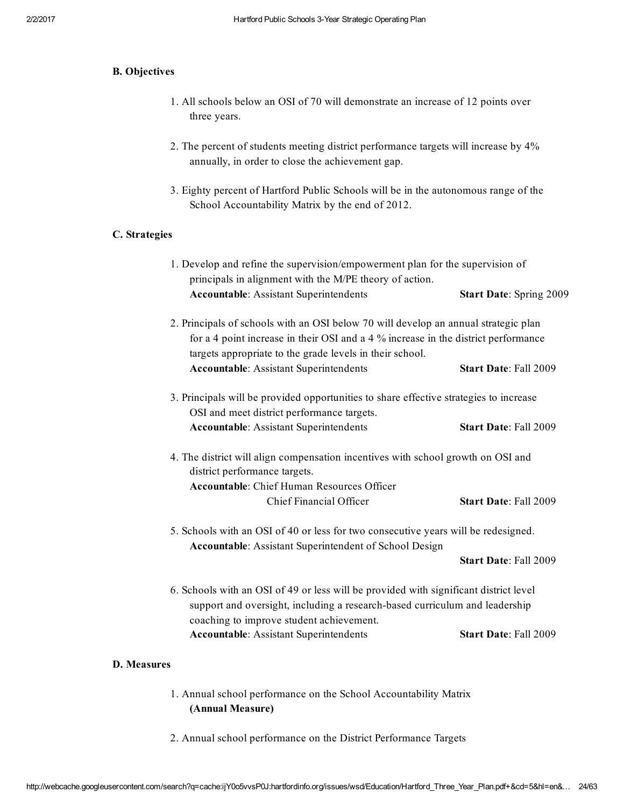#### B. Objectives

- 1. All schools below an OSI of 70 will demonstrate an increase of 12 points over three years.
- 2. The percent of students meeting district performance targets will increase by 4% annually, in order to close the achievement gap.
- 3. Eighty percent of Hartford Public Schools will be in the autonomous range of the School Accountability Matrix by the end of 2012.

### C. Strategies

| 1. Develop and refine the supervision/empowerment plan for the supervision of                                           |                              |  |  |
|-------------------------------------------------------------------------------------------------------------------------|------------------------------|--|--|
| principals in alignment with the M/PE theory of action.<br><b>Accountable:</b> Assistant Superintendents                | Start Date: Spring 2009      |  |  |
| 2. Principals of schools with an OSI below 70 will develop an annual strategic plan                                     |                              |  |  |
| for a 4 point increase in their OSI and a 4 % increase in the district performance                                      |                              |  |  |
| targets appropriate to the grade levels in their school.                                                                |                              |  |  |
| <b>Accountable:</b> Assistant Superintendents                                                                           | <b>Start Date: Fall 2009</b> |  |  |
| 3. Principals will be provided opportunities to share effective strategies to increase                                  |                              |  |  |
| OSI and meet district performance targets.                                                                              |                              |  |  |
| <b>Accountable:</b> Assistant Superintendents                                                                           | Start Date: Fall 2009        |  |  |
| 4. The district will align compensation incentives with school growth on OSI and<br>district performance targets.       |                              |  |  |
| <b>Accountable:</b> Chief Human Resources Officer                                                                       |                              |  |  |
| Chief Financial Officer                                                                                                 | <b>Start Date: Fall 2009</b> |  |  |
| 5. Schools with an OSI of 40 or less for two consecutive years will be redesigned.                                      |                              |  |  |
| <b>Accountable:</b> Assistant Superintendent of School Design                                                           |                              |  |  |
|                                                                                                                         | <b>Start Date: Fall 2009</b> |  |  |
| 6. Schools with an OSI of 49 or less will be provided with significant district level                                   |                              |  |  |
| support and oversight, including a research-based curriculum and leadership<br>coaching to improve student achievement. |                              |  |  |
| <b>Accountable:</b> Assistant Superintendents                                                                           | <b>Start Date: Fall 2009</b> |  |  |

#### D. Measures

- 1. Annual school performance on the School Accountability Matrix (Annual Measure)
- 2. Annual school performance on the District Performance Targets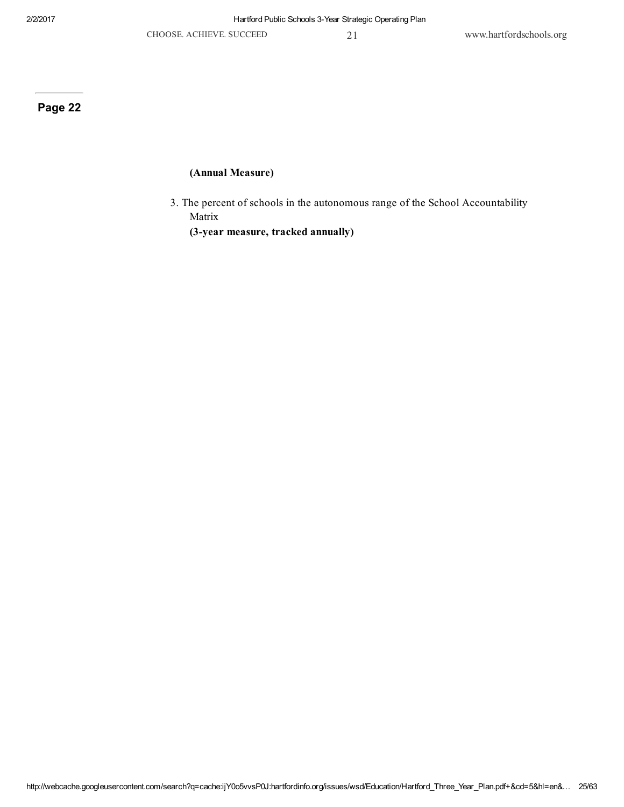Page 22

#### (Annual Measure)

3. The percent of schools in the autonomous range of the School Accountability Matrix

(3-year measure, tracked annually)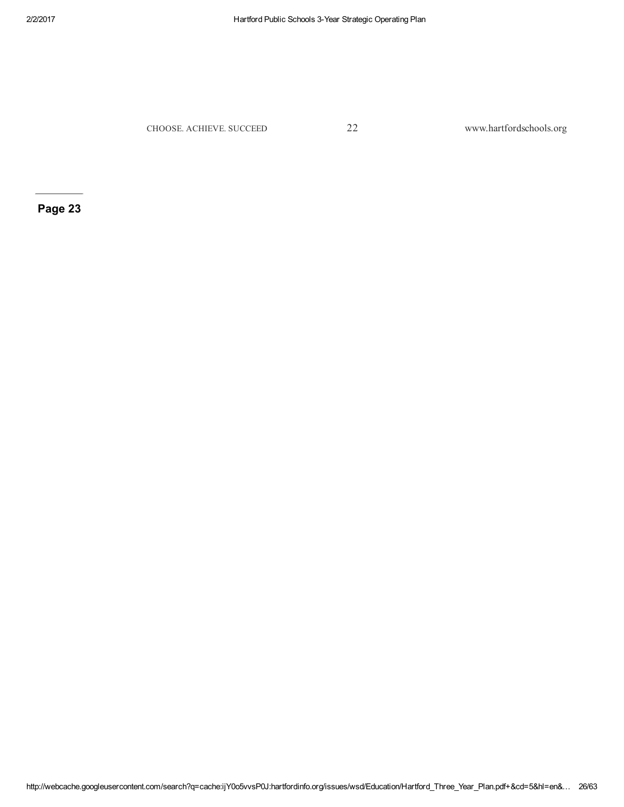CHOOSE. ACHIEVE. SUCCEED 22 www.hartfordschools.org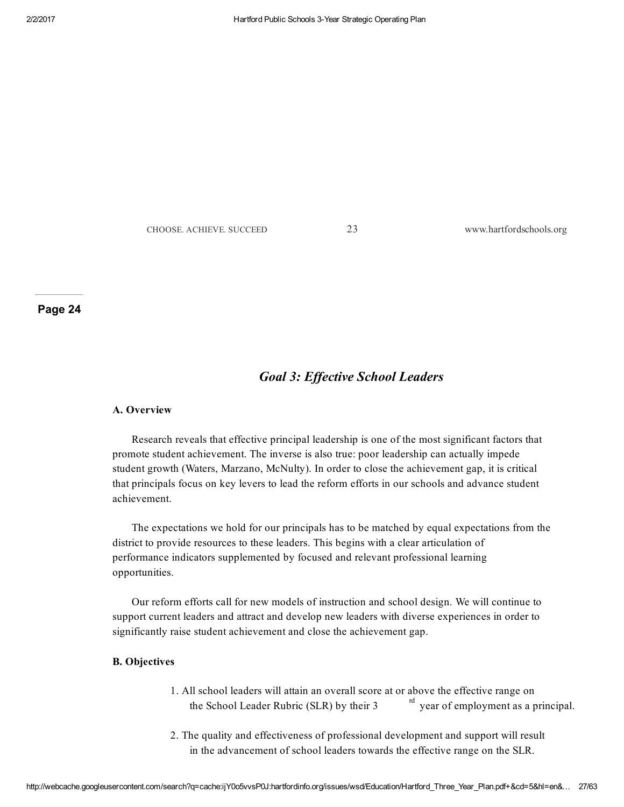CHOOSE. ACHIEVE. SUCCEED 23 www.hartfordschools.org

Page 24

## *Goal 3: Ef ective School Leaders*

#### A. Overview

Research reveals that effective principal leadership is one of the most significant factors that promote student achievement. The inverse is also true: poor leadership can actually impede student growth (Waters, Marzano, McNulty). In order to close the achievement gap, it is critical that principals focus on key levers to lead the reform efforts in our schools and advance student achievement.

The expectations we hold for our principals has to be matched by equal expectations from the district to provide resources to these leaders. This begins with a clear articulation of performance indicators supplemented by focused and relevant professional learning opportunities.

Our reform efforts call for new models of instruction and school design. We will continue to support current leaders and attract and develop new leaders with diverse experiences in order to significantly raise student achievement and close the achievement gap.

#### B. Objectives

- 1. All school leaders will attain an overall score at or above the effective range on the School Leader Rubric (SLR) by their 3 <sup>rd</sup> year of employment as a principal.
- 2. The quality and effectiveness of professional development and support will result in the advancement of school leaders towards the effective range on the SLR.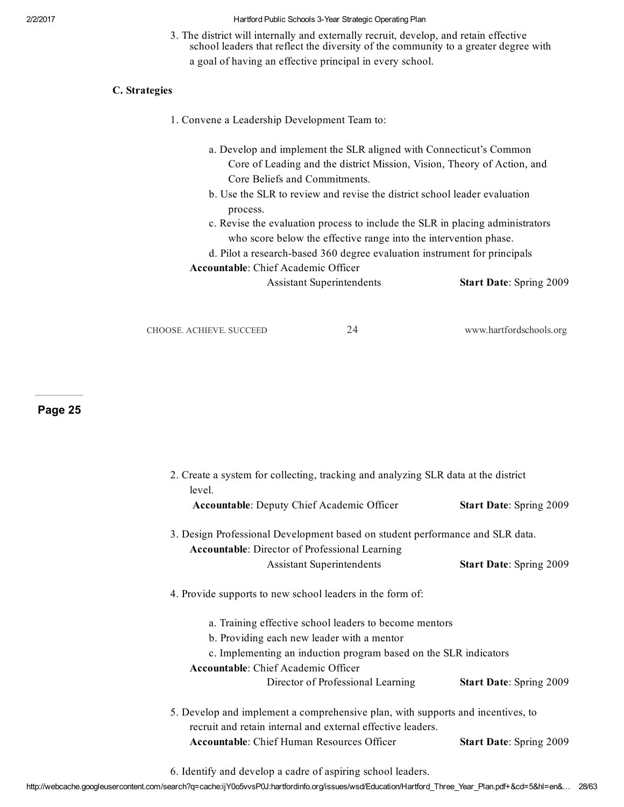3. The district will internally and externally recruit, develop, and retain effective school leaders that reflect the diversity of the community to a greater degree with a goal of having an effective principal in every school.

#### C. Strategies

- 1. Convene a Leadership Development Team to:
	- a. Develop and implement the SLR aligned with Connecticut's Common Core of Leading and the district Mission, Vision, Theory of Action, and Core Beliefs and Commitments.
	- b. Use the SLR to review and revise the district school leader evaluation process.
	- c. Revise the evaluation process to include the SLR in placing administrators who score below the effective range into the intervention phase.
	- d. Pilot a research-based 360 degree evaluation instrument for principals Accountable: Chief Academic Officer

Assistant Superintendents Start Date: Spring 2009

CHOOSE. ACHIEVE. SUCCEED 24 www.hartfordschools.org

#### Page 25

| level.                                                                                                                                         | 2. Create a system for collecting, tracking and analyzing SLR data at the district |  |
|------------------------------------------------------------------------------------------------------------------------------------------------|------------------------------------------------------------------------------------|--|
| <b>Accountable:</b> Deputy Chief Academic Officer                                                                                              | <b>Start Date: Spring 2009</b>                                                     |  |
| 3. Design Professional Development based on student performance and SLR data.                                                                  |                                                                                    |  |
| <b>Accountable:</b> Director of Professional Learning                                                                                          |                                                                                    |  |
| <b>Assistant Superintendents</b>                                                                                                               | Start Date: Spring 2009                                                            |  |
| 4. Provide supports to new school leaders in the form of:                                                                                      |                                                                                    |  |
| a. Training effective school leaders to become mentors                                                                                         |                                                                                    |  |
| b. Providing each new leader with a mentor                                                                                                     |                                                                                    |  |
| c. Implementing an induction program based on the SLR indicators                                                                               |                                                                                    |  |
| <b>Accountable:</b> Chief Academic Officer                                                                                                     |                                                                                    |  |
| Director of Professional Learning                                                                                                              | <b>Start Date: Spring 2009</b>                                                     |  |
| 5. Develop and implement a comprehensive plan, with supports and incentives, to<br>recruit and retain internal and external effective leaders. |                                                                                    |  |
| <b>Accountable:</b> Chief Human Resources Officer                                                                                              | <b>Start Date: Spring 2009</b>                                                     |  |
|                                                                                                                                                |                                                                                    |  |

6. Identify and develop a cadre of aspiring school leaders.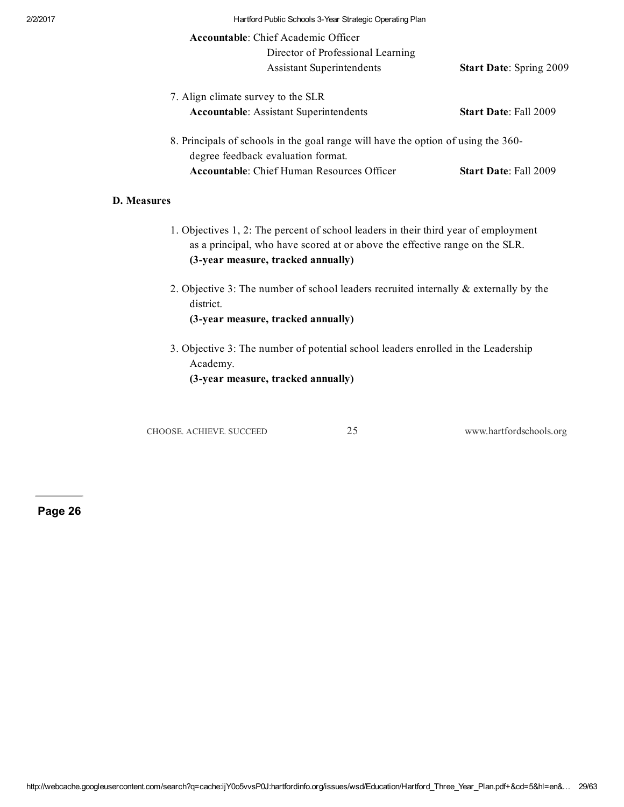|                    | <b>Accountable:</b> Chief Academic Officer                                                                              |                                |
|--------------------|-------------------------------------------------------------------------------------------------------------------------|--------------------------------|
|                    | Director of Professional Learning                                                                                       |                                |
|                    | <b>Assistant Superintendents</b>                                                                                        | <b>Start Date: Spring 2009</b> |
|                    | 7. Align climate survey to the SLR                                                                                      |                                |
|                    | <b>Accountable:</b> Assistant Superintendents                                                                           | <b>Start Date: Fall 2009</b>   |
|                    | 8. Principals of schools in the goal range will have the option of using the 360-<br>degree feedback evaluation format. |                                |
|                    | <b>Accountable:</b> Chief Human Resources Officer                                                                       | <b>Start Date: Fall 2009</b>   |
| <b>D.</b> Measures |                                                                                                                         |                                |
|                    | 1. Objectives 1, 2: The percent of school leaders in their third year of employment                                     |                                |

- 1. Objectives 1, 2: The percent of school leaders in their third year of employment as a principal, who have scored at or above the effective range on the SLR. (3-year measure, tracked annually)
- 2. Objective 3: The number of school leaders recruited internally & externally by the district. (3-year measure, tracked annually)
- 3. Objective 3: The number of potential school leaders enrolled in the Leadership Academy. (3-year measure, tracked annually)

CHOOSE. ACHIEVE. SUCCEED 25 www.hartfordschools.org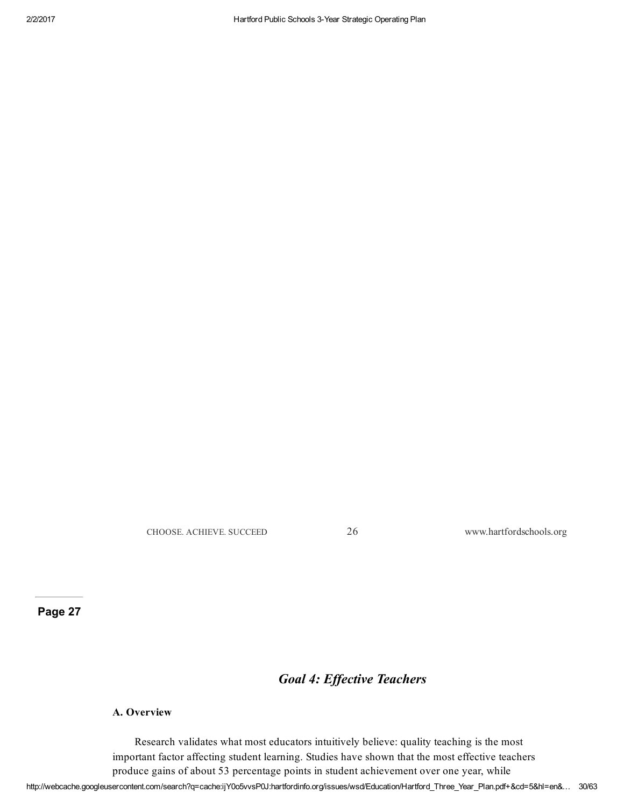CHOOSE. ACHIEVE. SUCCEED 26 www.hartfordschools.org

Page 27

## *Goal 4: Ef ective Teachers*

#### A. Overview

Research validates what most educators intuitively believe: quality teaching is the most important factor affecting student learning. Studies have shown that the most effective teachers produce gains of about 53 percentage points in student achievement over one year, while

http://webcache.googleusercontent.com/search?q=cache:ijY0o5vvsP0J:hartfordinfo.org/issues/wsd/Education/Hartford\_Three\_Year\_Plan.pdf+&cd=5&hl=en&… 30/63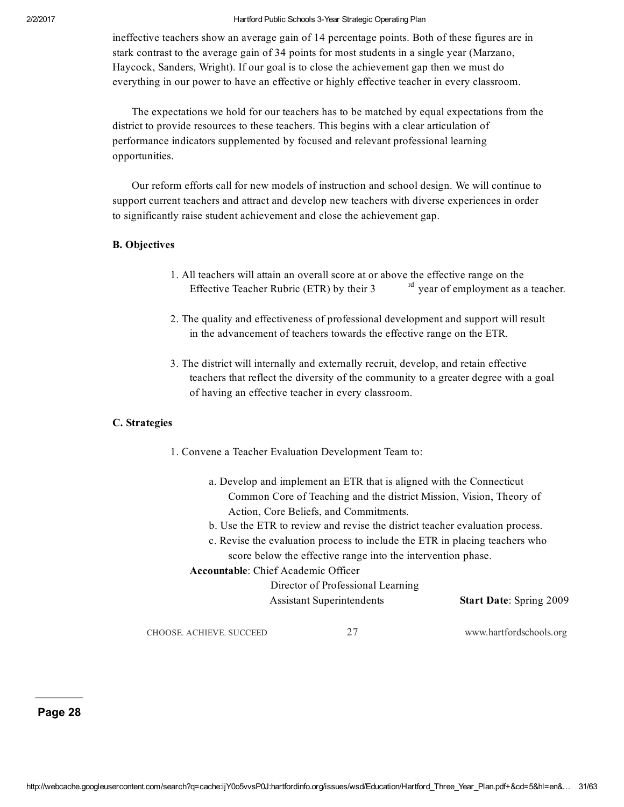ineffective teachers show an average gain of 14 percentage points. Both of these figures are in stark contrast to the average gain of 34 points for most students in a single year (Marzano, Haycock, Sanders, Wright). If our goal is to close the achievement gap then we must do everything in our power to have an effective or highly effective teacher in every classroom.

The expectations we hold for our teachers has to be matched by equal expectations from the district to provide resources to these teachers. This begins with a clear articulation of performance indicators supplemented by focused and relevant professional learning opportunities.

Our reform efforts call for new models of instruction and school design. We will continue to support current teachers and attract and develop new teachers with diverse experiences in order to significantly raise student achievement and close the achievement gap.

#### B. Objectives

- 1. All teachers will attain an overall score at or above the effective range on the Effective Teacher Rubric (ETR) by their 3 <sup>rd</sup> year of employment as a teacher.
- 2. The quality and effectiveness of professional development and support will result in the advancement of teachers towards the effective range on the ETR.
- 3. The district will internally and externally recruit, develop, and retain effective teachers that reflect the diversity of the community to a greater degree with a goal of having an effective teacher in every classroom.

#### C. Strategies

- 1. Convene a Teacher Evaluation Development Team to:
	- a. Develop and implement an ETR that is aligned with the Connecticut Common Core of Teaching and the district Mission, Vision, Theory of Action, Core Beliefs, and Commitments.
	- b. Use the ETR to review and revise the district teacher evaluation process.
	- c. Revise the evaluation process to include the ETR in placing teachers who score below the effective range into the intervention phase.

#### Accountable: Chief Academic Officer

## Director of Professional Learning

Assistant Superintendents Start Date: Spring 2009

CHOOSE. ACHIEVE. SUCCEED 27 www.hartfordschools.org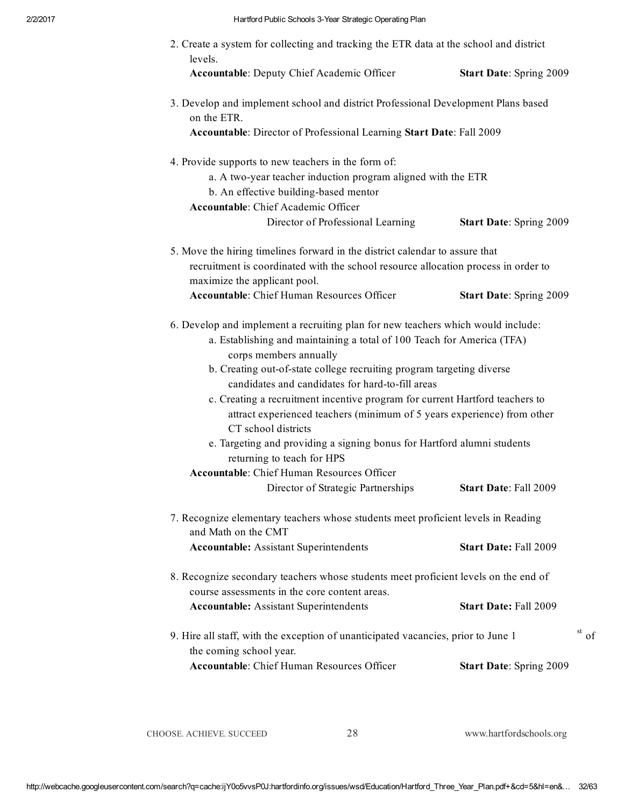| 2. Create a system for collecting and tracking the ETR data at the school and district<br>levels.                                                                                                                                                                                                                                                                                                                                                                                                                                                                              |                                |
|--------------------------------------------------------------------------------------------------------------------------------------------------------------------------------------------------------------------------------------------------------------------------------------------------------------------------------------------------------------------------------------------------------------------------------------------------------------------------------------------------------------------------------------------------------------------------------|--------------------------------|
| <b>Accountable: Deputy Chief Academic Officer</b>                                                                                                                                                                                                                                                                                                                                                                                                                                                                                                                              | <b>Start Date: Spring 2009</b> |
| 3. Develop and implement school and district Professional Development Plans based<br>on the ETR.                                                                                                                                                                                                                                                                                                                                                                                                                                                                               |                                |
| Accountable: Director of Professional Learning Start Date: Fall 2009                                                                                                                                                                                                                                                                                                                                                                                                                                                                                                           |                                |
| 4. Provide supports to new teachers in the form of:                                                                                                                                                                                                                                                                                                                                                                                                                                                                                                                            |                                |
| a. A two-year teacher induction program aligned with the ETR<br>b. An effective building-based mentor                                                                                                                                                                                                                                                                                                                                                                                                                                                                          |                                |
| <b>Accountable:</b> Chief Academic Officer                                                                                                                                                                                                                                                                                                                                                                                                                                                                                                                                     |                                |
| Director of Professional Learning                                                                                                                                                                                                                                                                                                                                                                                                                                                                                                                                              | <b>Start Date: Spring 2009</b> |
| 5. Move the hiring timelines forward in the district calendar to assure that                                                                                                                                                                                                                                                                                                                                                                                                                                                                                                   |                                |
| recruitment is coordinated with the school resource allocation process in order to<br>maximize the applicant pool.                                                                                                                                                                                                                                                                                                                                                                                                                                                             |                                |
| <b>Accountable:</b> Chief Human Resources Officer                                                                                                                                                                                                                                                                                                                                                                                                                                                                                                                              | <b>Start Date: Spring 2009</b> |
| 6. Develop and implement a recruiting plan for new teachers which would include:<br>a. Establishing and maintaining a total of 100 Teach for America (TFA)<br>corps members annually<br>b. Creating out-of-state college recruiting program targeting diverse<br>candidates and candidates for hard-to-fill areas<br>c. Creating a recruitment incentive program for current Hartford teachers to<br>attract experienced teachers (minimum of 5 years experience) from other<br>CT school districts<br>e. Targeting and providing a signing bonus for Hartford alumni students |                                |
| returning to teach for HPS                                                                                                                                                                                                                                                                                                                                                                                                                                                                                                                                                     |                                |
| <b>Accountable:</b> Chief Human Resources Officer<br>Director of Strategic Partnerships                                                                                                                                                                                                                                                                                                                                                                                                                                                                                        | Start Date: Fall 2009          |
| 7. Recognize elementary teachers whose students meet proficient levels in Reading<br>and Math on the CMT<br><b>Accountable:</b> Assistant Superintendents                                                                                                                                                                                                                                                                                                                                                                                                                      | Start Date: Fall 2009          |
| 8. Recognize secondary teachers whose students meet proficient levels on the end of<br>course assessments in the core content areas.                                                                                                                                                                                                                                                                                                                                                                                                                                           |                                |
| <b>Accountable:</b> Assistant Superintendents                                                                                                                                                                                                                                                                                                                                                                                                                                                                                                                                  | Start Date: Fall 2009          |
|                                                                                                                                                                                                                                                                                                                                                                                                                                                                                                                                                                                |                                |
| 9. Hire all staff, with the exception of unanticipated vacancies, prior to June 1<br>the coming school year.                                                                                                                                                                                                                                                                                                                                                                                                                                                                   |                                |

CHOOSE. ACHIEVE. SUCCEED 28 www.hartfordschools.org

st of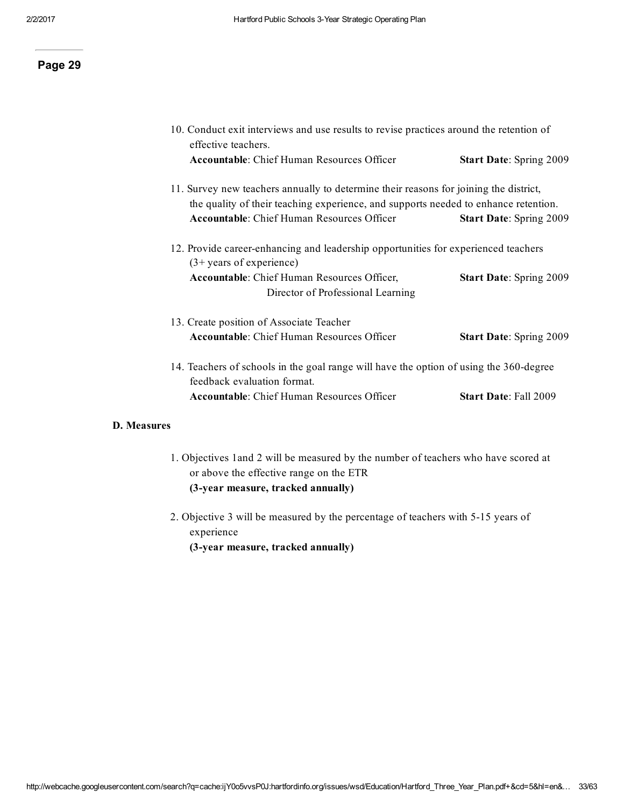#### Page 29

| 10. Conduct exit interviews and use results to revise practices around the retention of<br>effective teachers.                                                                                                                    |                                |
|-----------------------------------------------------------------------------------------------------------------------------------------------------------------------------------------------------------------------------------|--------------------------------|
| <b>Accountable:</b> Chief Human Resources Officer                                                                                                                                                                                 | <b>Start Date: Spring 2009</b> |
| 11. Survey new teachers annually to determine their reasons for joining the district,<br>the quality of their teaching experience, and supports needed to enhance retention.<br><b>Accountable:</b> Chief Human Resources Officer | <b>Start Date: Spring 2009</b> |
| 12. Provide career-enhancing and leadership opportunities for experienced teachers<br>$(3 + \text{years of experience})$                                                                                                          |                                |
| Accountable: Chief Human Resources Officer,<br>Director of Professional Learning                                                                                                                                                  | <b>Start Date: Spring 2009</b> |
| 13. Create position of Associate Teacher                                                                                                                                                                                          |                                |
| <b>Accountable:</b> Chief Human Resources Officer                                                                                                                                                                                 | <b>Start Date: Spring 2009</b> |
| 14. Teachers of schools in the goal range will have the option of using the 360-degree<br>feedback evaluation format.                                                                                                             |                                |
| <b>Accountable:</b> Chief Human Resources Officer                                                                                                                                                                                 | <b>Start Date: Fall 2009</b>   |

#### D. Measures

- 1. Objectives 1and 2 will be measured by the number of teachers who have scored at or above the effective range on the ETR (3-year measure, tracked annually)
- 2. Objective 3 will be measured by the percentage of teachers with 515 years of experience (3-year measure, tracked annually)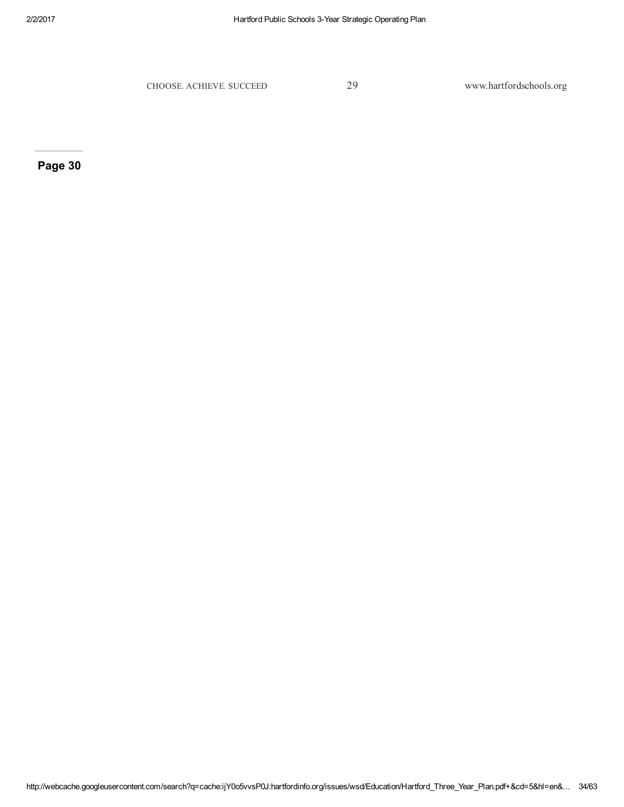CHOOSE. ACHIEVE. SUCCEED 29 www.hartfordschools.org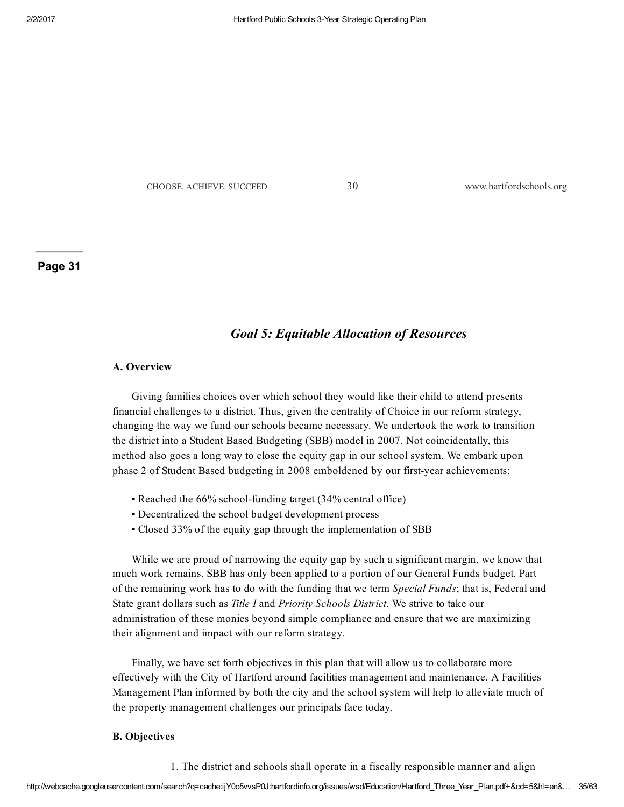CHOOSE. ACHIEVE. SUCCEED 30 www.hartfordschools.org

#### Page 31

#### *Goal 5: Equitable Allocation of Resources*

#### A. Overview

Giving families choices over which school they would like their child to attend presents financial challenges to a district. Thus, given the centrality of Choice in our reform strategy, changing the way we fund our schools became necessary. We undertook the work to transition the district into a Student Based Budgeting (SBB) model in 2007. Not coincidentally, this method also goes a long way to close the equity gap in our school system. We embark upon phase 2 of Student Based budgeting in 2008 emboldened by our first-year achievements:

- Reached the 66% school-funding target (34% central office)
- Decentralized the school budget development process
- Closed 33% of the equity gap through the implementation of SBB

While we are proud of narrowing the equity gap by such a significant margin, we know that much work remains. SBB has only been applied to a portion of our General Funds budget. Part of the remaining work has to do with the funding that we term *Special Funds*; that is, Federal and State grant dollars such as *Title I* and *Priority Schools District*. We strive to take our administration of these monies beyond simple compliance and ensure that we are maximizing their alignment and impact with our reform strategy.

Finally, we have set forth objectives in this plan that will allow us to collaborate more effectively with the City of Hartford around facilities management and maintenance. A Facilities Management Plan informed by both the city and the school system will help to alleviate much of the property management challenges our principals face today.

#### B. Objectives

1. The district and schools shall operate in a fiscally responsible manner and align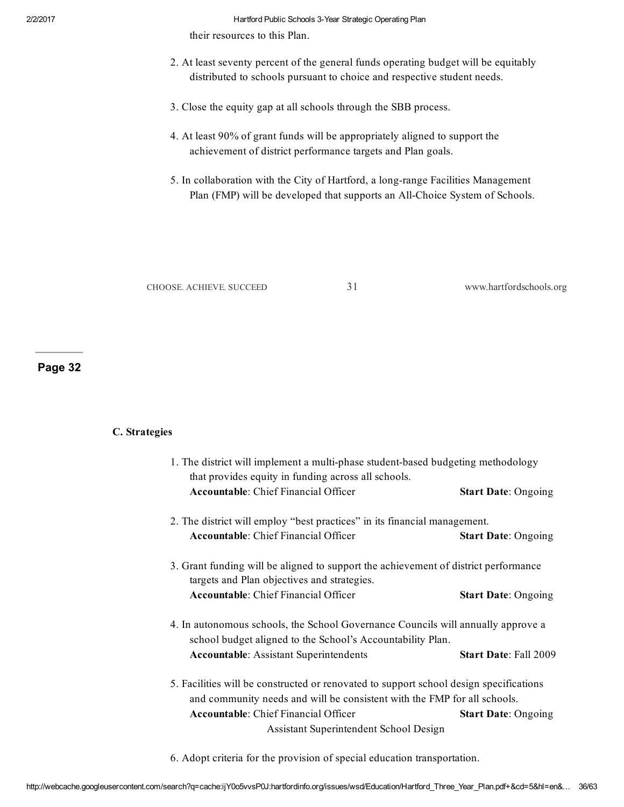their resources to this Plan.

- 2. At least seventy percent of the general funds operating budget will be equitably distributed to schools pursuant to choice and respective student needs.
- 3. Close the equity gap at all schools through the SBB process.
- 4. At least 90% of grant funds will be appropriately aligned to support the achievement of district performance targets and Plan goals.
- 5. In collaboration with the City of Hartford, a long-range Facilities Management Plan (FMP) will be developed that supports an All-Choice System of Schools.

CHOOSE. ACHIEVE. SUCCEED 31 www.hartfordschools.org

Page 32

### C. Strategies

| 1. The district will implement a multi-phase student-based budgeting methodology<br>that provides equity in funding across all schools.                            |                              |
|--------------------------------------------------------------------------------------------------------------------------------------------------------------------|------------------------------|
| <b>Accountable:</b> Chief Financial Officer                                                                                                                        | <b>Start Date: Ongoing</b>   |
| 2. The district will employ "best practices" in its financial management.                                                                                          |                              |
| <b>Accountable:</b> Chief Financial Officer                                                                                                                        | <b>Start Date: Ongoing</b>   |
| 3. Grant funding will be aligned to support the achievement of district performance<br>targets and Plan objectives and strategies.                                 |                              |
| <b>Accountable:</b> Chief Financial Officer                                                                                                                        | <b>Start Date: Ongoing</b>   |
| 4. In autonomous schools, the School Governance Councils will annually approve a<br>school budget aligned to the School's Accountability Plan.                     |                              |
| <b>Accountable:</b> Assistant Superintendents                                                                                                                      | <b>Start Date: Fall 2009</b> |
| 5. Facilities will be constructed or renovated to support school design specifications<br>and community needs and will be consistent with the FMP for all schools. |                              |
| <b>Accountable:</b> Chief Financial Officer<br>Assistant Superintendent School Design                                                                              | <b>Start Date: Ongoing</b>   |
|                                                                                                                                                                    |                              |

6. Adopt criteria for the provision of special education transportation.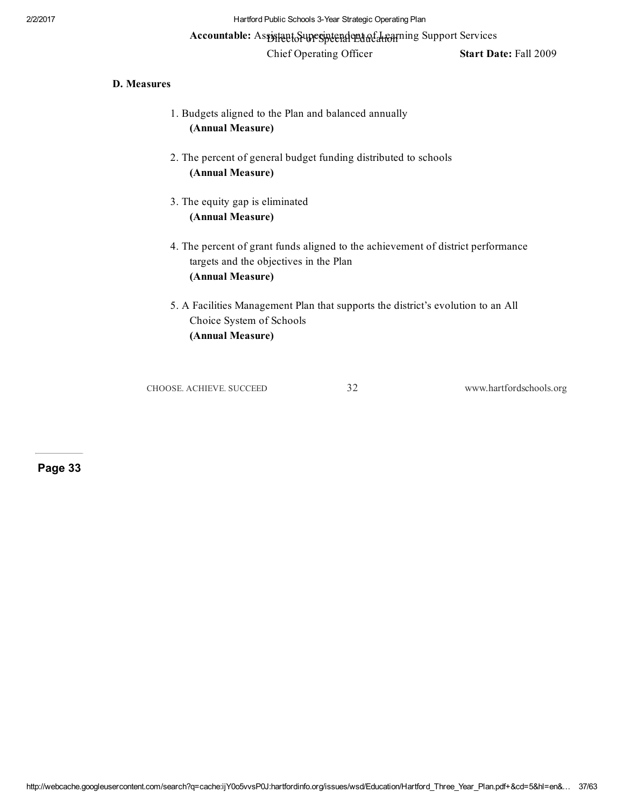Accountable: Assistant Superintendent of Learning Support Services

Chief Operating Officer Start Date: Fall 2009

#### D. Measures

- 1. Budgets aligned to the Plan and balanced annually (Annual Measure)
- 2. The percent of general budget funding distributed to schools (Annual Measure)
- 3. The equity gap is eliminated (Annual Measure)
- 4. The percent of grant funds aligned to the achievement of district performance targets and the objectives in the Plan (Annual Measure)
- 5. A Facilities Management Plan that supports the district's evolution to an All Choice System of Schools (Annual Measure)

CHOOSE. ACHIEVE. SUCCEED 32 www.hartfordschools.org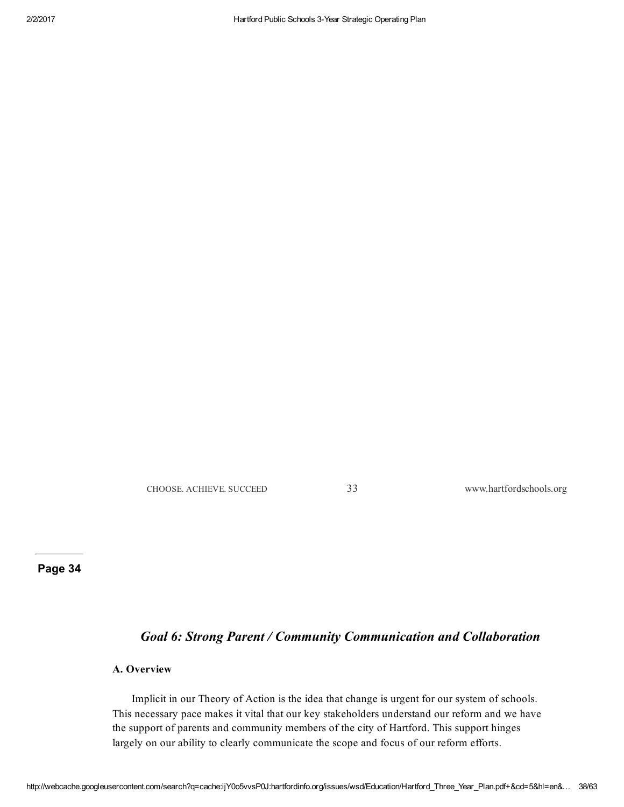CHOOSE. ACHIEVE. SUCCEED 33 www.hartfordschools.org

Page 34

## *Goal 6: Strong Parent / Community Communication and Collaboration*

#### A. Overview

Implicit in our Theory of Action is the idea that change is urgent for our system of schools. This necessary pace makes it vital that our key stakeholders understand our reform and we have the support of parents and community members of the city of Hartford. This support hinges largely on our ability to clearly communicate the scope and focus of our reform efforts.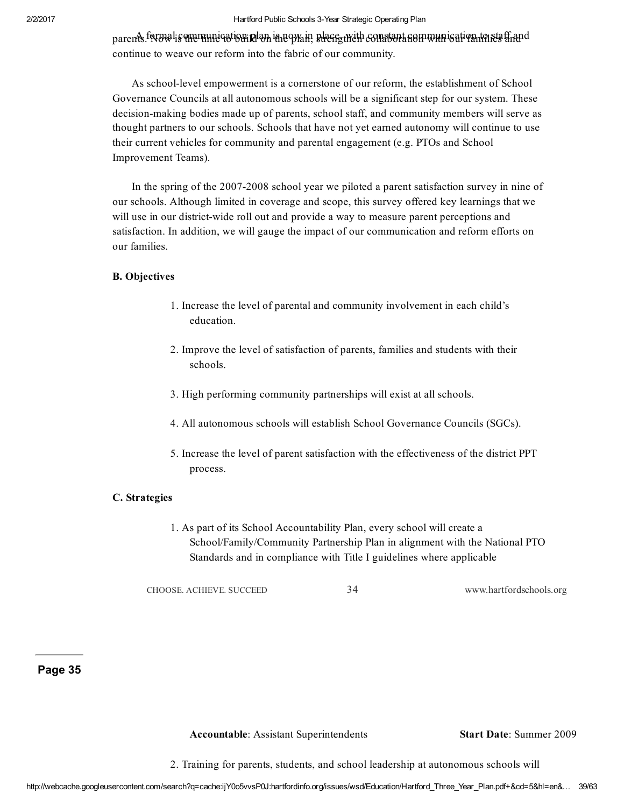parents formal communication plan in pow in place with constant communication to staff and continue to weave our reform into the fabric of our community.

As school-level empowerment is a cornerstone of our reform, the establishment of School Governance Councils at all autonomous schools will be a significant step for our system. These decision-making bodies made up of parents, school staff, and community members will serve as thought partners to our schools. Schools that have not yet earned autonomy will continue to use their current vehicles for community and parental engagement (e.g. PTOs and School Improvement Teams).

In the spring of the 2007-2008 school year we piloted a parent satisfaction survey in nine of our schools. Although limited in coverage and scope, this survey offered key learnings that we will use in our district-wide roll out and provide a way to measure parent perceptions and satisfaction. In addition, we will gauge the impact of our communication and reform efforts on our families.

#### B. Objectives

- 1. Increase the level of parental and community involvement in each child's education.
- 2. Improve the level of satisfaction of parents, families and students with their schools.
- 3. High performing community partnerships will exist at all schools.
- 4. All autonomous schools will establish School Governance Councils (SGCs).
- 5. Increase the level of parent satisfaction with the effectiveness of the district PPT process.

#### C. Strategies

1. As part of its School Accountability Plan, every school will create a School/Family/Community Partnership Plan in alignment with the National PTO Standards and in compliance with Title I guidelines where applicable

CHOOSE. ACHIEVE. SUCCEED 34 www.hartfordschools.org

#### Page 35

Accountable: Assistant Superintendents Start Date: Summer 2009

2. Training for parents, students, and school leadership at autonomous schools will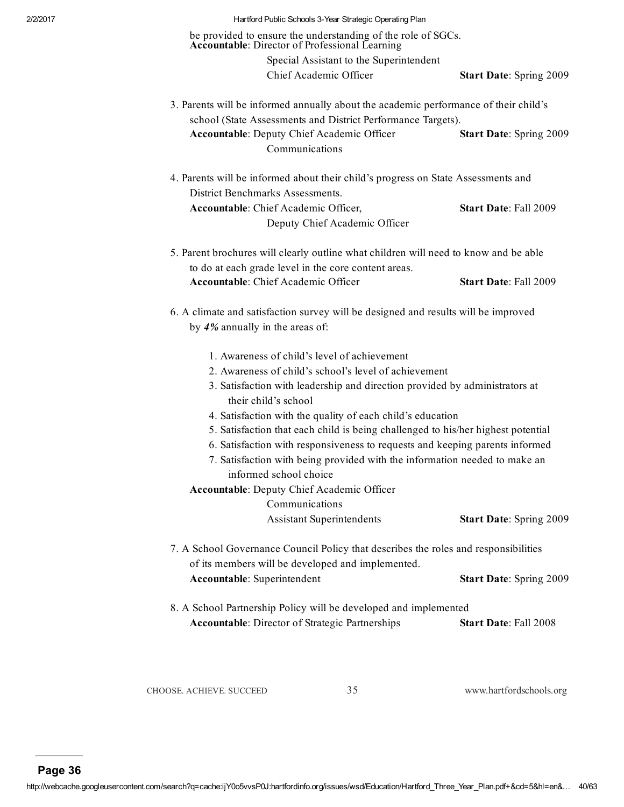be provided to ensure the understanding of the role of SGCs. Accountable: Director of Professional Learning

> Special Assistant to the Superintendent Chief Academic Officer Start Date: Spring 2009

- 3. Parents will be informed annually about the academic performance of their child's school (State Assessments and District Performance Targets). Accountable: Deputy Chief Academic Officer Start Date: Spring 2009 Communications
- 4. Parents will be informed about their child's progress on State Assessments and District Benchmarks Assessments. Accountable: Chief Academic Officer, Start Date: Fall 2009 Deputy Chief Academic Officer
- 5. Parent brochures will clearly outline what children will need to know and be able to do at each grade level in the core content areas. Accountable: Chief Academic Officer Start Date: Fall 2009
- 6. A climate and satisfaction survey will be designed and results will be improved by *4%* annually in the areas of:
	- 1. Awareness of child's level of achievement
	- 2. Awareness of child's school's level of achievement
	- 3. Satisfaction with leadership and direction provided by administrators at their child's school
	- 4. Satisfaction with the quality of each child's education
	- 5. Satisfaction that each child is being challenged to his/her highest potential
	- 6. Satisfaction with responsiveness to requests and keeping parents informed
	- 7. Satisfaction with being provided with the information needed to make an informed school choice
	- Accountable: Deputy Chief Academic Officer
- Communications Assistant Superintendents Start Date: Spring 2009 7. A School Governance Council Policy that describes the roles and responsibilities of its members will be developed and implemented. Accountable: Superintendent Start Date: Spring 2009
- 8. A School Partnership Policy will be developed and implemented Accountable: Director of Strategic Partnerships Start Date: Fall 2008

CHOOSE. ACHIEVE. SUCCEED 35 www.hartfordschools.org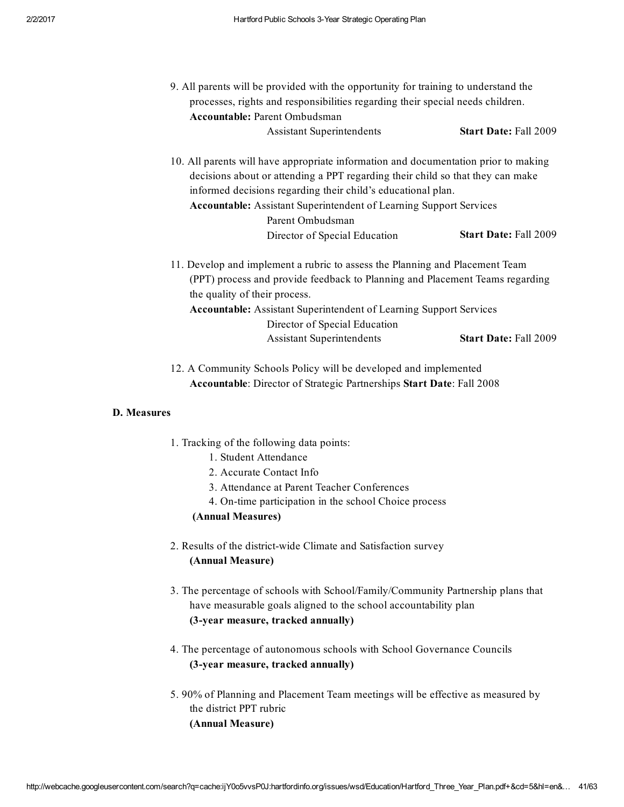- 9. All parents will be provided with the opportunity for training to understand the processes, rights and responsibilities regarding their special needs children. Accountable: Parent Ombudsman Assistant Superintendents Start Date: Fall 2009
- 10. All parents will have appropriate information and documentation prior to making decisions about or attending a PPT regarding their child so that they can make informed decisions regarding their child's educational plan. Accountable: Assistant Superintendent of Learning Support Services Parent Ombudsman Director of Special Education Start Date: Fall 2009
- 11. Develop and implement a rubric to assess the Planning and Placement Team (PPT) process and provide feedback to Planning and Placement Teams regarding the quality of their process. Accountable: Assistant Superintendent of Learning Support Services Director of Special Education Assistant Superintendents Start Date: Fall 2009
- 12. A Community Schools Policy will be developed and implemented Accountable: Director of Strategic Partnerships Start Date: Fall 2008

#### D. Measures

- 1. Tracking of the following data points:
	- 1. Student Attendance
	- 2. Accurate Contact Info
	- 3. Attendance at Parent Teacher Conferences
	- 4. On-time participation in the school Choice process

#### (Annual Measures)

- 2. Results of the district-wide Climate and Satisfaction survey (Annual Measure)
- 3. The percentage of schools with School/Family/Community Partnership plans that have measurable goals aligned to the school accountability plan (3-year measure, tracked annually)
- 4. The percentage of autonomous schools with School Governance Councils (3-year measure, tracked annually)
- 5. 90% of Planning and Placement Team meetings will be effective as measured by the district PPT rubric (Annual Measure)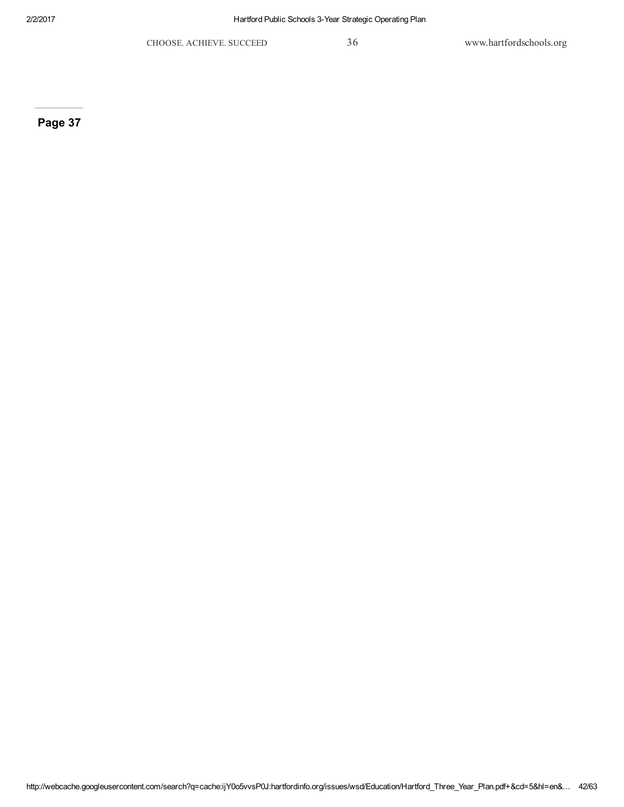CHOOSE. ACHIEVE. SUCCEED 36 www.hartfordschools.org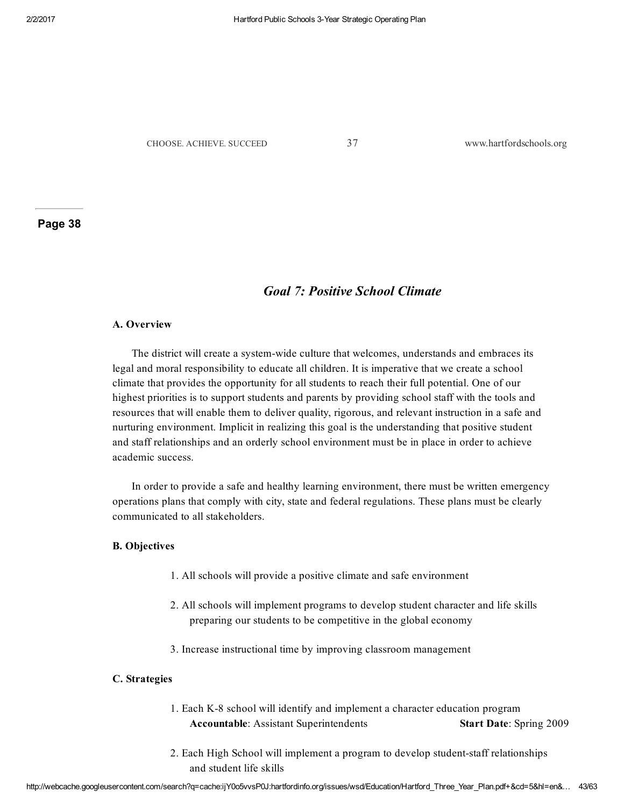CHOOSE. ACHIEVE. SUCCEED 37 www.hartfordschools.org

Page 38

## *Goal 7: Positive School Climate*

#### A. Overview

The district will create a systemwide culture that welcomes, understands and embraces its legal and moral responsibility to educate all children. It is imperative that we create a school climate that provides the opportunity for all students to reach their full potential. One of our highest priorities is to support students and parents by providing school staff with the tools and resources that will enable them to deliver quality, rigorous, and relevant instruction in a safe and nurturing environment. Implicit in realizing this goal is the understanding that positive student and staff relationships and an orderly school environment must be in place in order to achieve academic success.

In order to provide a safe and healthy learning environment, there must be written emergency operations plans that comply with city, state and federal regulations. These plans must be clearly communicated to all stakeholders.

#### B. Objectives

- 1. All schools will provide a positive climate and safe environment
- 2. All schools will implement programs to develop student character and life skills preparing our students to be competitive in the global economy
- 3. Increase instructional time by improving classroom management

#### C. Strategies

- 1. Each K-8 school will identify and implement a character education program Accountable: Assistant Superintendents Start Date: Spring 2009
- 2. Each High School will implement a program to develop student-staff relationships and student life skills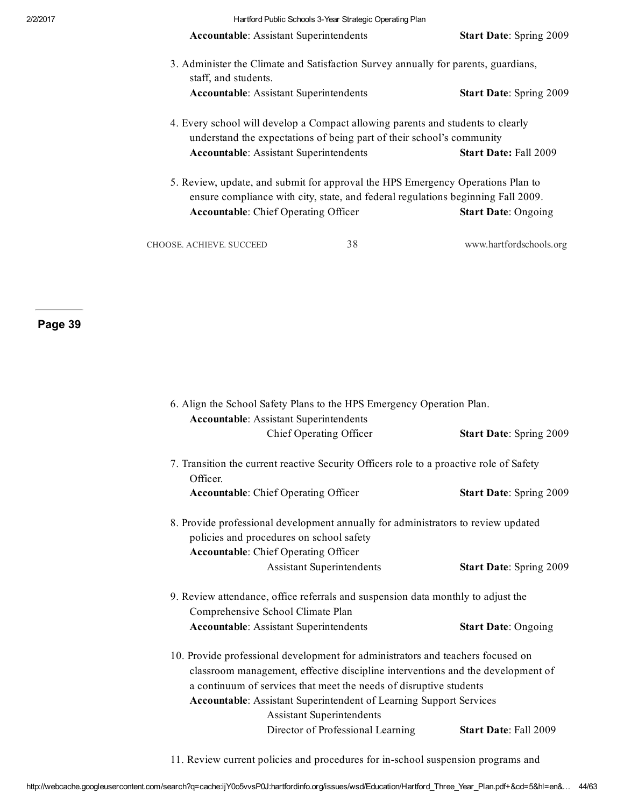| 2/2/2017 |                                               | Hartford Public Schools 3-Year Strategic Operating Plan                                                                                                             |                              |  |  |
|----------|-----------------------------------------------|---------------------------------------------------------------------------------------------------------------------------------------------------------------------|------------------------------|--|--|
|          |                                               | <b>Accountable:</b> Assistant Superintendents                                                                                                                       |                              |  |  |
|          | staff, and students.                          | 3. Administer the Climate and Satisfaction Survey annually for parents, guardians,                                                                                  |                              |  |  |
|          |                                               | <b>Accountable:</b> Assistant Superintendents                                                                                                                       |                              |  |  |
|          |                                               | 4. Every school will develop a Compact allowing parents and students to clearly<br>understand the expectations of being part of their school's community            |                              |  |  |
|          | <b>Accountable:</b> Assistant Superintendents |                                                                                                                                                                     | <b>Start Date: Fall 2009</b> |  |  |
|          |                                               | 5. Review, update, and submit for approval the HPS Emergency Operations Plan to<br>ensure compliance with city, state, and federal regulations beginning Fall 2009. |                              |  |  |
|          | <b>Accountable:</b> Chief Operating Officer   |                                                                                                                                                                     | <b>Start Date: Ongoing</b>   |  |  |
|          | CHOOSE. ACHIEVE. SUCCEED                      | 38                                                                                                                                                                  | www.hartfordschools.org      |  |  |
|          |                                               |                                                                                                                                                                     |                              |  |  |

## Page 39

| 6. Align the School Safety Plans to the HPS Emergency Operation Plan.<br><b>Accountable:</b> Assistant Superintendents        |                                |
|-------------------------------------------------------------------------------------------------------------------------------|--------------------------------|
| Chief Operating Officer                                                                                                       | <b>Start Date: Spring 2009</b> |
| 7. Transition the current reactive Security Officers role to a proactive role of Safety<br>Officer.                           |                                |
| <b>Accountable:</b> Chief Operating Officer                                                                                   | <b>Start Date: Spring 2009</b> |
| 8. Provide professional development annually for administrators to review updated<br>policies and procedures on school safety |                                |
| <b>Accountable:</b> Chief Operating Officer                                                                                   |                                |
| <b>Assistant Superintendents</b>                                                                                              | <b>Start Date: Spring 2009</b> |
| 9. Review attendance, office referrals and suspension data monthly to adjust the                                              |                                |
| Comprehensive School Climate Plan                                                                                             |                                |
| <b>Accountable:</b> Assistant Superintendents                                                                                 | <b>Start Date: Ongoing</b>     |
| 10. Provide professional development for administrators and teachers focused on                                               |                                |
| classroom management, effective discipline interventions and the development of                                               |                                |
| a continuum of services that meet the needs of disruptive students                                                            |                                |
| <b>Accountable:</b> Assistant Superintendent of Learning Support Services                                                     |                                |
| <b>Assistant Superintendents</b>                                                                                              |                                |
| Director of Professional Learning                                                                                             | <b>Start Date: Fall 2009</b>   |
|                                                                                                                               |                                |

11. Review current policies and procedures for in-school suspension programs and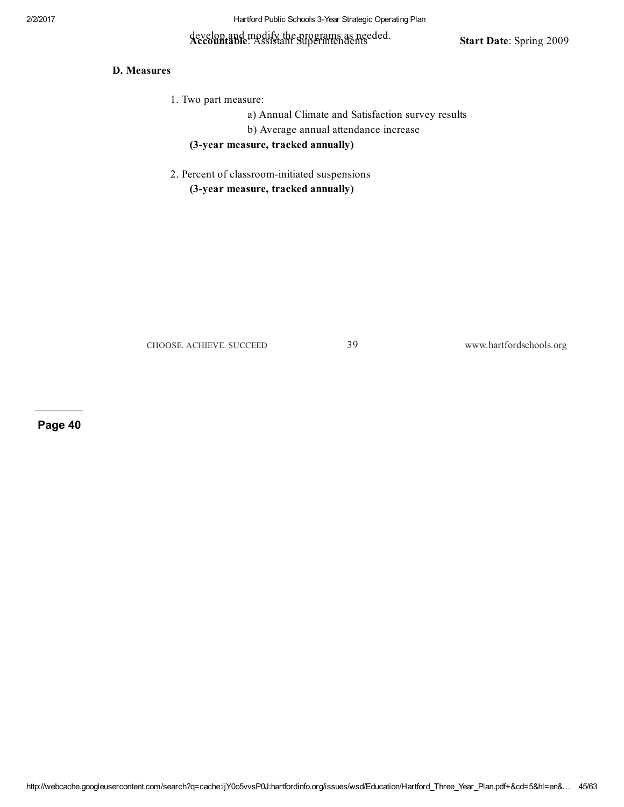## develop and modify the programs as needed. <br>Accountable: Assistant Superintendents Start Date: Spring 2009

#### D. Measures

- 1. Two part measure:
	- a) Annual Climate and Satisfaction survey results

b) Average annual attendance increase

(3-year measure, tracked annually)

2. Percent of classroom-initiated suspensions

(3-year measure, tracked annually)

CHOOSE. ACHIEVE. SUCCEED 39 www.hartfordschools.org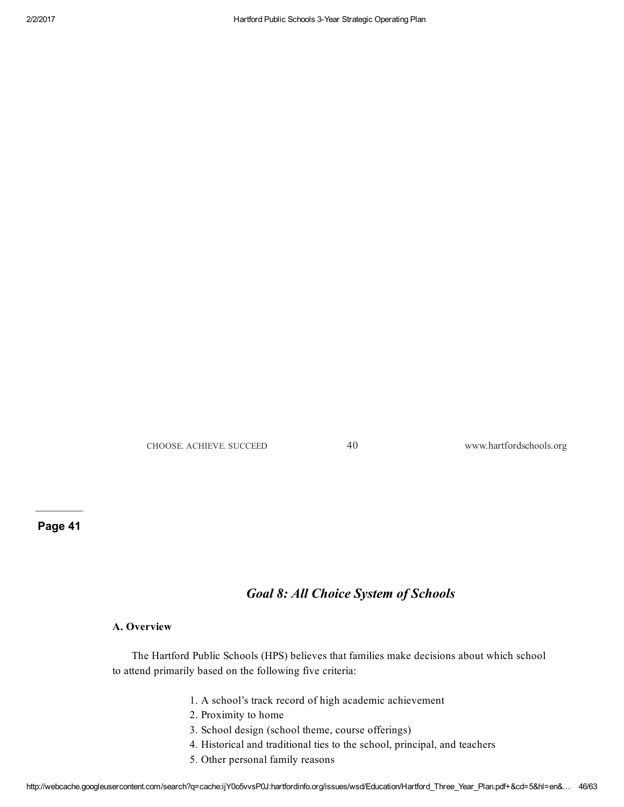CHOOSE. ACHIEVE. SUCCEED 40 www.hartfordschools.org

Page 41

## *Goal 8: All Choice System of Schools*

#### A. Overview

The Hartford Public Schools (HPS) believes that families make decisions about which school to attend primarily based on the following five criteria:

- 1. A school's track record of high academic achievement
- 2. Proximity to home
- 3. School design (school theme, course offerings)
- 4. Historical and traditional ties to the school, principal, and teachers
- 5. Other personal family reasons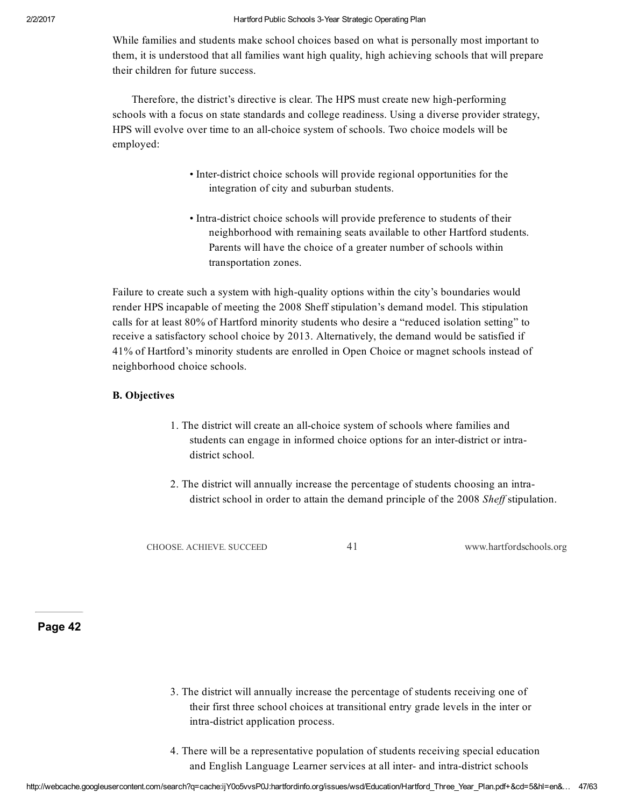While families and students make school choices based on what is personally most important to them, it is understood that all families want high quality, high achieving schools that will prepare their children for future success.

Therefore, the district's directive is clear. The HPS must create new high-performing schools with a focus on state standards and college readiness. Using a diverse provider strategy, HPS will evolve over time to an all-choice system of schools. Two choice models will be employed:

- Inter-district choice schools will provide regional opportunities for the integration of city and suburban students.
- Intra-district choice schools will provide preference to students of their neighborhood with remaining seats available to other Hartford students. Parents will have the choice of a greater number of schools within transportation zones.

Failure to create such a system with high-quality options within the city's boundaries would render HPS incapable of meeting the 2008 Sheff stipulation's demand model. This stipulation calls for at least 80% of Hartford minority students who desire a "reduced isolation setting" to receive a satisfactory school choice by 2013. Alternatively, the demand would be satisfied if 41% of Hartford's minority students are enrolled in Open Choice or magnet schools instead of neighborhood choice schools.

#### B. Objectives

- 1. The district will create an all-choice system of schools where families and students can engage in informed choice options for an inter-district or intradistrict school.
- 2. The district will annually increase the percentage of students choosing an intradistrict school in order to attain the demand principle of the 2008 *Shef* stipulation.

CHOOSE. ACHIEVE. SUCCEED 41 www.hartfordschools.org

- 3. The district will annually increase the percentage of students receiving one of their first three school choices at transitional entry grade levels in the inter or intra-district application process.
- 4. There will be a representative population of students receiving special education and English Language Learner services at all inter- and intra-district schools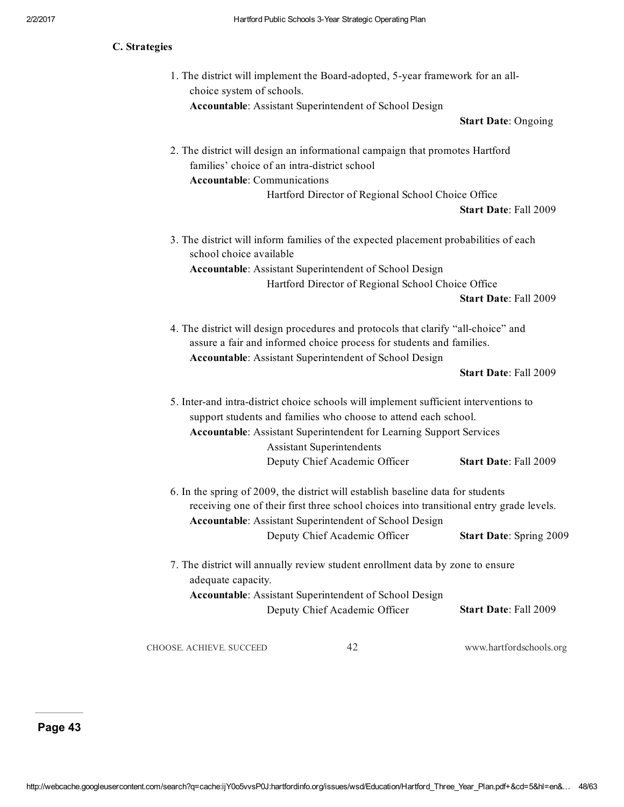| C. Strategies |                                                                                    |                                                                                                                                                                                                                                              |                            |
|---------------|------------------------------------------------------------------------------------|----------------------------------------------------------------------------------------------------------------------------------------------------------------------------------------------------------------------------------------------|----------------------------|
|               | choice system of schools.                                                          | 1. The district will implement the Board-adopted, 5-year framework for an all-<br><b>Accountable:</b> Assistant Superintendent of School Design                                                                                              |                            |
|               |                                                                                    |                                                                                                                                                                                                                                              | <b>Start Date: Ongoing</b> |
|               | families' choice of an intra-district school<br><b>Accountable: Communications</b> | 2. The district will design an informational campaign that promotes Hartford<br>Hartford Director of Regional School Choice Office                                                                                                           | Start Date: Fall 2009      |
|               | school choice available                                                            | 3. The district will inform families of the expected placement probabilities of each                                                                                                                                                         |                            |
|               |                                                                                    | <b>Accountable:</b> Assistant Superintendent of School Design                                                                                                                                                                                |                            |
|               |                                                                                    | Hartford Director of Regional School Choice Office                                                                                                                                                                                           | Start Date: Fall 2009      |
|               |                                                                                    | 4. The district will design procedures and protocols that clarify "all-choice" and<br>assure a fair and informed choice process for students and families.<br><b>Accountable:</b> Assistant Superintendent of School Design                  |                            |
|               |                                                                                    |                                                                                                                                                                                                                                              | Start Date: Fall 2009      |
|               |                                                                                    | 5. Inter-and intra-district choice schools will implement sufficient interventions to<br>support students and families who choose to attend each school.<br><b>Accountable:</b> Assistant Superintendent for Learning Support Services       |                            |
|               |                                                                                    | <b>Assistant Superintendents</b><br>Deputy Chief Academic Officer                                                                                                                                                                            | Start Date: Fall 2009      |
|               |                                                                                    | 6. In the spring of 2009, the district will establish baseline data for students<br>receiving one of their first three school choices into transitional entry grade levels.<br><b>Accountable:</b> Assistant Superintendent of School Design |                            |
|               |                                                                                    | Deputy Chief Academic Officer                                                                                                                                                                                                                | Start Date: Spring 2009    |
|               | adequate capacity.                                                                 | 7. The district will annually review student enrollment data by zone to ensure                                                                                                                                                               |                            |
|               |                                                                                    | <b>Accountable:</b> Assistant Superintendent of School Design<br>Deputy Chief Academic Officer                                                                                                                                               | Start Date: Fall 2009      |
|               | CHOOSE. ACHIEVE. SUCCEED                                                           | 42                                                                                                                                                                                                                                           | www.hartfordschools.org    |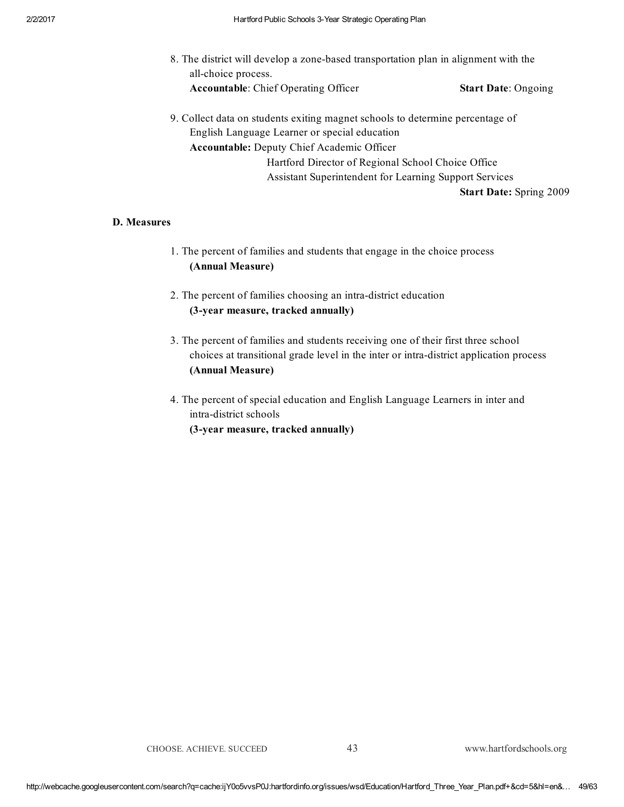- 8. The district will develop a zone-based transportation plan in alignment with the all-choice process. Accountable: Chief Operating Officer Start Date: Ongoing
- 9. Collect data on students exiting magnet schools to determine percentage of English Language Learner or special education Accountable: Deputy Chief Academic Officer Hartford Director of Regional School Choice Office Assistant Superintendent for Learning Support Services Start Date: Spring 2009

#### D. Measures

- 1. The percent of families and students that engage in the choice process (Annual Measure)
- 2. The percent of families choosing an intra-district education (3-year measure, tracked annually)
- 3. The percent of families and students receiving one of their first three school choices at transitional grade level in the inter or intradistrict application process (Annual Measure)
- 4. The percent of special education and English Language Learners in inter and intra-district schools (3-year measure, tracked annually)

CHOOSE. ACHIEVE. SUCCEED 43 www.hartfordschools.org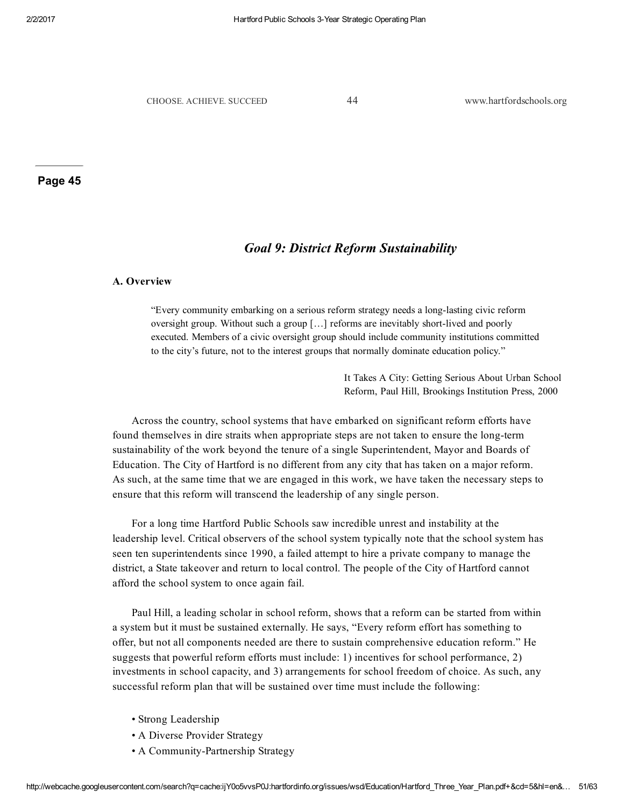Page 45

## *Goal 9: District Reform Sustainability*

#### A. Overview

"Every community embarking on a serious reform strategy needs a long-lasting civic reform oversight group. Without such a group [...] reforms are inevitably short-lived and poorly executed. Members of a civic oversight group should include community institutions committed to the city's future, not to the interest groups that normally dominate education policy."

> It Takes A City: Getting Serious About Urban School Reform, Paul Hill, Brookings Institution Press, 2000

Across the country, school systems that have embarked on significant reform efforts have found themselves in dire straits when appropriate steps are not taken to ensure the long-term sustainability of the work beyond the tenure of a single Superintendent, Mayor and Boards of Education. The City of Hartford is no different from any city that has taken on a major reform. As such, at the same time that we are engaged in this work, we have taken the necessary steps to ensure that this reform will transcend the leadership of any single person.

For a long time Hartford Public Schools saw incredible unrest and instability at the leadership level. Critical observers of the school system typically note that the school system has seen ten superintendents since 1990, a failed attempt to hire a private company to manage the district, a State takeover and return to local control. The people of the City of Hartford cannot afford the school system to once again fail.

Paul Hill, a leading scholar in school reform, shows that a reform can be started from within a system but it must be sustained externally. He says, "Every reform effort has something to offer, but not all components needed are there to sustain comprehensive education reform." He suggests that powerful reform efforts must include: 1) incentives for school performance, 2) investments in school capacity, and 3) arrangements for school freedom of choice. As such, any successful reform plan that will be sustained over time must include the following:

- Strong Leadership
- A Diverse Provider Strategy
- A Community-Partnership Strategy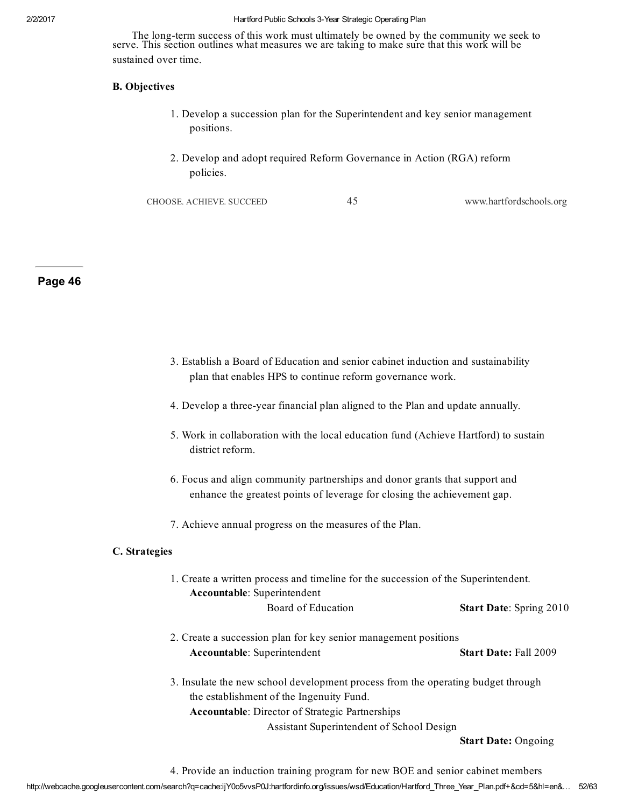The long-term success of this work must ultimately be owned by the community we seek to serve. This section outlines what measures we are taking to make sure that this work will be sustained over time.

#### B. Objectives

- 1. Develop a succession plan for the Superintendent and key senior management positions.
- 2. Develop and adopt required Reform Governance in Action (RGA) reform policies.

CHOOSE. ACHIEVE. SUCCEED 45 www.hartfordschools.org

#### Page 46

- 3. Establish a Board of Education and senior cabinet induction and sustainability plan that enables HPS to continue reform governance work.
- 4. Develop a threeyear financial plan aligned to the Plan and update annually.
- 5. Work in collaboration with the local education fund (Achieve Hartford) to sustain district reform.
- 6. Focus and align community partnerships and donor grants that support and enhance the greatest points of leverage for closing the achievement gap.
- 7. Achieve annual progress on the measures of the Plan.

#### C. Strategies

- 1. Create a written process and timeline for the succession of the Superintendent. Accountable: Superintendent Board of Education Start Date: Spring 2010
- 2. Create a succession plan for key senior management positions Accountable: Superintendent Start Date: Fall 2009
- 3. Insulate the new school development process from the operating budget through the establishment of the Ingenuity Fund. Accountable: Director of Strategic Partnerships

Assistant Superintendent of School Design

Start Date: Ongoing

4. Provide an induction training program for new BOE and senior cabinet members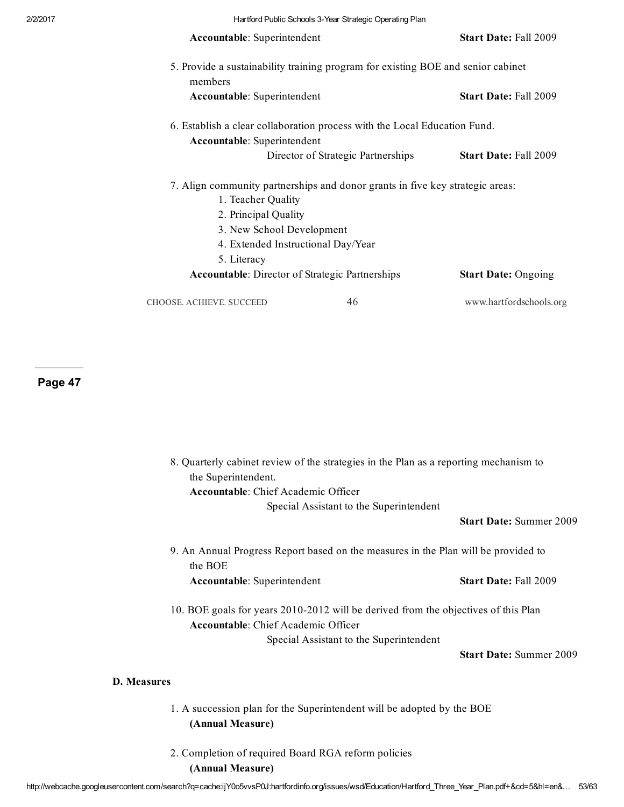| <b>Accountable:</b> Superintendent |                                                                                  | Start Date: Fall 2009      |
|------------------------------------|----------------------------------------------------------------------------------|----------------------------|
| members                            | 5. Provide a sustainability training program for existing BOE and senior cabinet |                            |
| Accountable: Superintendent        |                                                                                  | Start Date: Fall 2009      |
|                                    | 6. Establish a clear collaboration process with the Local Education Fund.        |                            |
| Accountable: Superintendent        |                                                                                  |                            |
|                                    | Director of Strategic Partnerships                                               | Start Date: Fall 2009      |
|                                    | 7. Align community partnerships and donor grants in five key strategic areas:    |                            |
| 1. Teacher Quality                 |                                                                                  |                            |
| 2. Principal Quality               |                                                                                  |                            |
|                                    | 3. New School Development                                                        |                            |
|                                    | 4. Extended Instructional Day/Year                                               |                            |
| 5. Literacy                        |                                                                                  |                            |
|                                    | <b>Accountable:</b> Director of Strategic Partnerships                           | <b>Start Date: Ongoing</b> |
| CHOOSE. ACHIEVE. SUCCEED           | 46                                                                               | www.hartfordschools.org    |
|                                    |                                                                                  |                            |
|                                    |                                                                                  |                            |
|                                    |                                                                                  |                            |

Page 47

| 8. Quarterly cabinet review of the strategies in the Plan as a reporting mechanism to<br>the Superintendent.<br><b>Accountable:</b> Chief Academic Officer                  |                                |  |
|-----------------------------------------------------------------------------------------------------------------------------------------------------------------------------|--------------------------------|--|
| Special Assistant to the Superintendent                                                                                                                                     |                                |  |
|                                                                                                                                                                             | <b>Start Date: Summer 2009</b> |  |
| 9. An Annual Progress Report based on the measures in the Plan will be provided to<br>the BOE                                                                               |                                |  |
| <b>Accountable:</b> Superintendent                                                                                                                                          | <b>Start Date: Fall 2009</b>   |  |
| 10. BOE goals for years 2010-2012 will be derived from the objectives of this Plan<br><b>Accountable:</b> Chief Academic Officer<br>Special Assistant to the Superintendent |                                |  |
|                                                                                                                                                                             | <b>Start Date: Summer 2009</b> |  |
| <b>D.</b> Measures                                                                                                                                                          |                                |  |

1. A succession plan for the Superintendent will be adopted by the BOE (Annual Measure)

2. Completion of required Board RGA reform policies (Annual Measure)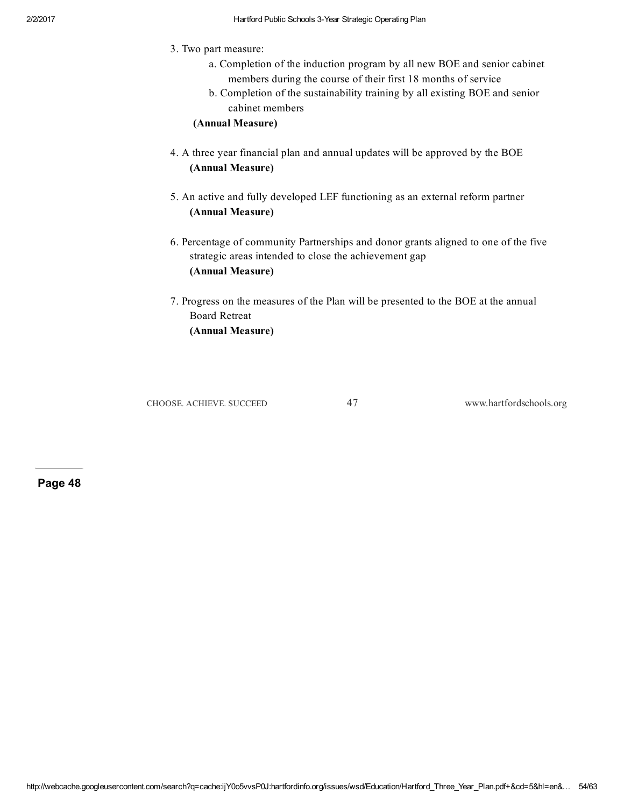- 3. Two part measure:
	- a. Completion of the induction program by all new BOE and senior cabinet members during the course of their first 18 months of service
	- b. Completion of the sustainability training by all existing BOE and senior cabinet members

#### (Annual Measure)

- 4. A three year financial plan and annual updates will be approved by the BOE (Annual Measure)
- 5. An active and fully developed LEF functioning as an external reform partner (Annual Measure)
- 6. Percentage of community Partnerships and donor grants aligned to one of the five strategic areas intended to close the achievement gap (Annual Measure)
- 7. Progress on the measures of the Plan will be presented to the BOE at the annual Board Retreat (Annual Measure)

CHOOSE. ACHIEVE. SUCCEED 47 www.hartfordschools.org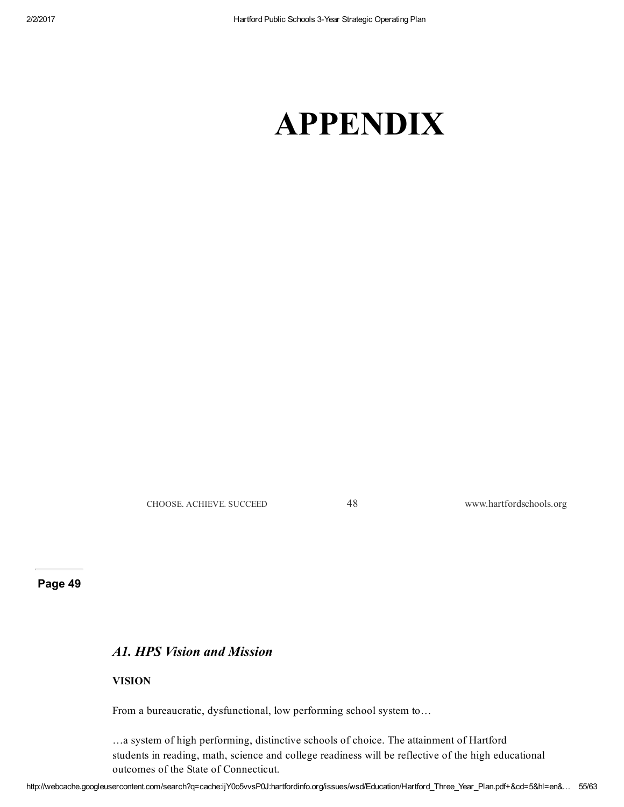## APPENDIX

CHOOSE. ACHIEVE. SUCCEED 48 www.hartfordschools.org

Page 49

## *A1. HPS Vision and Mission*

#### VISION

From a bureaucratic, dysfunctional, low performing school system to…

…a system of high performing, distinctive schools of choice. The attainment of Hartford students in reading, math, science and college readiness will be reflective of the high educational outcomes of the State of Connecticut.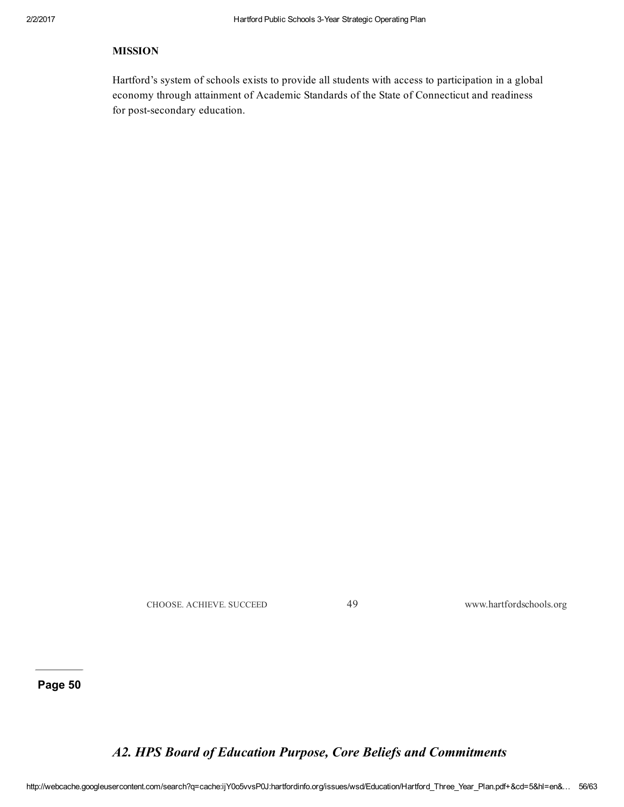### MISSION

Hartford's system of schools exists to provide all students with access to participation in a global economy through attainment of Academic Standards of the State of Connecticut and readiness for post-secondary education.

CHOOSE. ACHIEVE. SUCCEED 49 www.hartfordschools.org

Page 50

## *A2. HPS Board of Education Purpose, Core Beliefs and Commitments*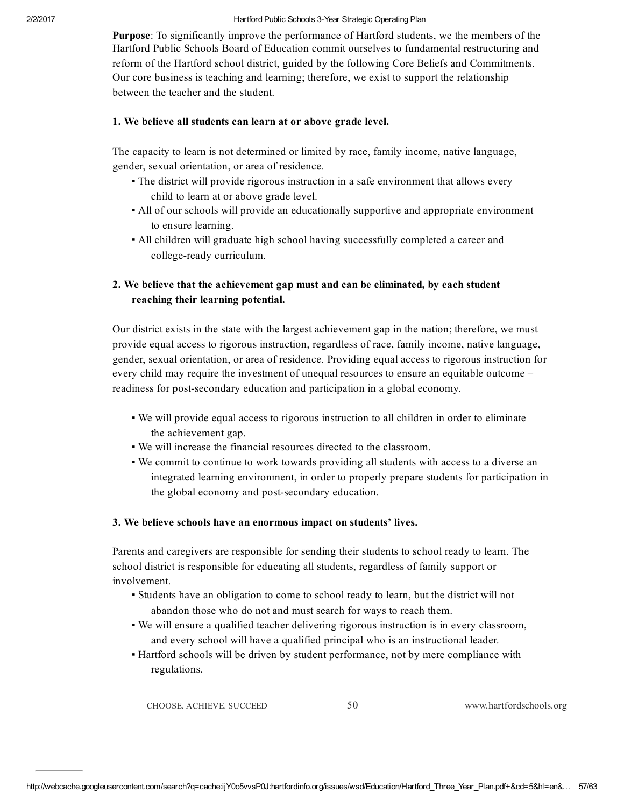Purpose: To significantly improve the performance of Hartford students, we the members of the Hartford Public Schools Board of Education commit ourselves to fundamental restructuring and reform of the Hartford school district, guided by the following Core Beliefs and Commitments. Our core business is teaching and learning; therefore, we exist to support the relationship between the teacher and the student.

#### 1. We believe all students can learn at or above grade level.

The capacity to learn is not determined or limited by race, family income, native language, gender, sexual orientation, or area of residence.

- The district will provide rigorous instruction in a safe environment that allows every child to learn at or above grade level.
- All of our schools will provide an educationally supportive and appropriate environment to ensure learning.
- All children will graduate high school having successfully completed a career and college-ready curriculum.

## 2. We believe that the achievement gap must and can be eliminated, by each student reaching their learning potential.

Our district exists in the state with the largest achievement gap in the nation; therefore, we must provide equal access to rigorous instruction, regardless of race, family income, native language, gender, sexual orientation, or area of residence. Providing equal access to rigorous instruction for every child may require the investment of unequal resources to ensure an equitable outcome – readiness for post-secondary education and participation in a global economy.

- We will provide equal access to rigorous instruction to all children in order to eliminate the achievement gap.
- We will increase the financial resources directed to the classroom.
- We commit to continue to work towards providing all students with access to a diverse an integrated learning environment, in order to properly prepare students for participation in the global economy and post-secondary education.

#### 3. We believe schools have an enormous impact on students' lives.

Parents and caregivers are responsible for sending their students to school ready to learn. The school district is responsible for educating all students, regardless of family support or involvement.

- Students have an obligation to come to school ready to learn, but the district will not abandon those who do not and must search for ways to reach them.
- We will ensure a qualified teacher delivering rigorous instruction is in every classroom, and every school will have a qualified principal who is an instructional leader.
- Hartford schools will be driven by student performance, not by mere compliance with regulations.

CHOOSE. ACHIEVE. SUCCEED 50 www.hartfordschools.org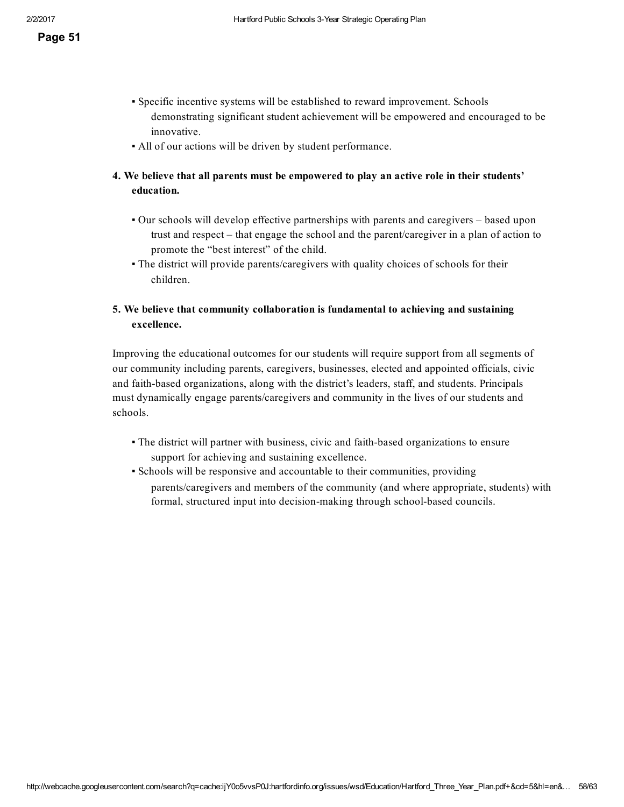- Specific incentive systems will be established to reward improvement. Schools demonstrating significant student achievement will be empowered and encouraged to be innovative.
- All of our actions will be driven by student performance.

### 4. We believe that all parents must be empowered to play an active role in their students' education.

- Our schools will develop effective partnerships with parents and caregivers based upon trust and respect – that engage the school and the parent/caregiver in a plan of action to promote the "best interest" of the child.
- The district will provide parents/caregivers with quality choices of schools for their children.

## 5. We believe that community collaboration is fundamental to achieving and sustaining excellence.

Improving the educational outcomes for our students will require support from all segments of our community including parents, caregivers, businesses, elected and appointed officials, civic and faith-based organizations, along with the district's leaders, staff, and students. Principals must dynamically engage parents/caregivers and community in the lives of our students and schools.

- The district will partner with business, civic and faith-based organizations to ensure support for achieving and sustaining excellence.
- Schools will be responsive and accountable to their communities, providing parents/caregivers and members of the community (and where appropriate, students) with formal, structured input into decision-making through school-based councils.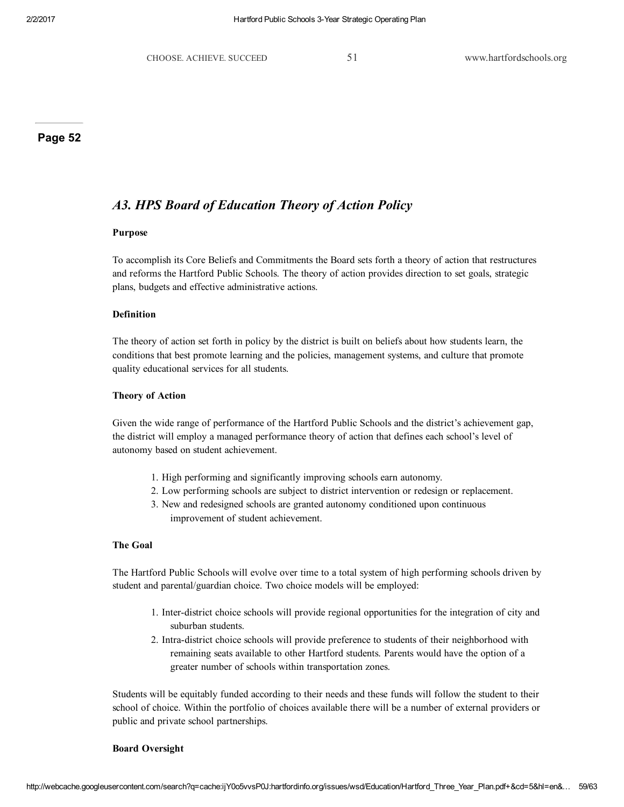#### Page 52

#### *A3. HPS Board of Education Theory of Action Policy*

#### Purpose

To accomplish its Core Beliefs and Commitments the Board sets forth a theory of action that restructures and reforms the Hartford Public Schools. The theory of action provides direction to set goals, strategic plans, budgets and effective administrative actions.

#### Definition

The theory of action set forth in policy by the district is built on beliefs about how students learn, the conditions that best promote learning and the policies, management systems, and culture that promote quality educational services for all students.

#### Theory of Action

Given the wide range of performance of the Hartford Public Schools and the district's achievement gap, the district will employ a managed performance theory of action that defines each school's level of autonomy based on student achievement.

- 1. High performing and significantly improving schools earn autonomy.
- 2. Low performing schools are subject to district intervention or redesign or replacement.
- 3. New and redesigned schools are granted autonomy conditioned upon continuous improvement of student achievement.

#### The Goal

The Hartford Public Schools will evolve over time to a total system of high performing schools driven by student and parental/guardian choice. Two choice models will be employed:

- 1. Interdistrict choice schools will provide regional opportunities for the integration of city and suburban students.
- 2. Intra-district choice schools will provide preference to students of their neighborhood with remaining seats available to other Hartford students. Parents would have the option of a greater number of schools within transportation zones.

Students will be equitably funded according to their needs and these funds will follow the student to their school of choice. Within the portfolio of choices available there will be a number of external providers or public and private school partnerships.

#### Board Oversight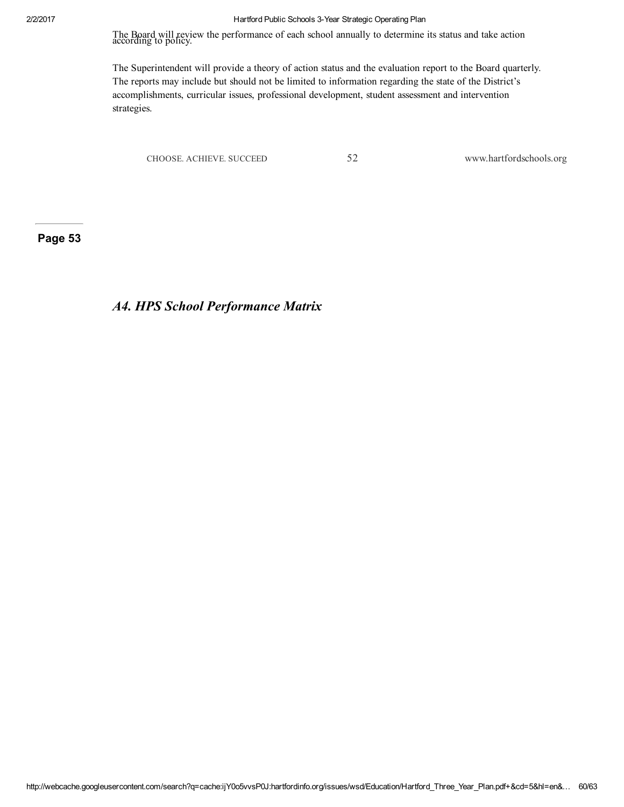The Board will review the performance of each school annually to determine its status and take action according to policy.

The Superintendent will provide a theory of action status and the evaluation report to the Board quarterly. The reports may include but should not be limited to information regarding the state of the District's accomplishments, curricular issues, professional development, student assessment and intervention strategies.

CHOOSE. ACHIEVE. SUCCEED 52 www.hartfordschools.org

Page 53

## *A4. HPS School Performance Matrix*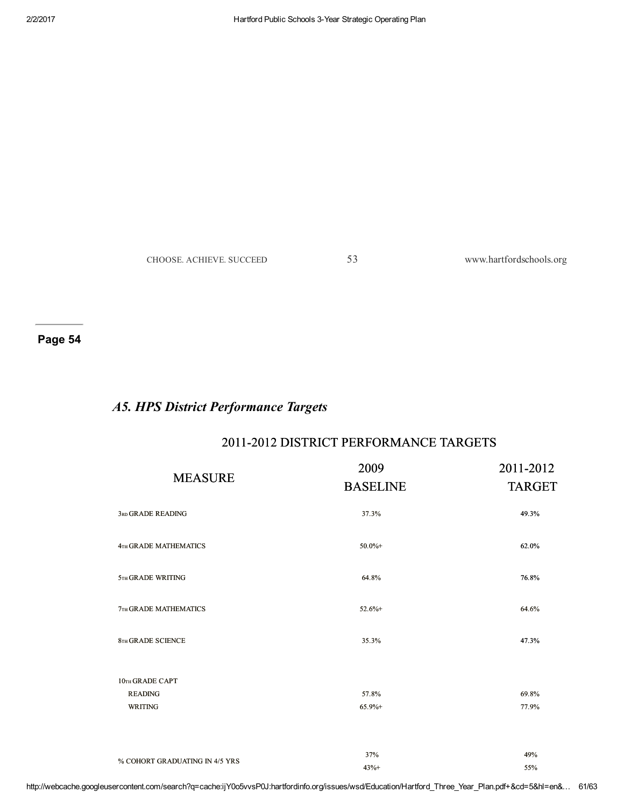CHOOSE. ACHIEVE. SUCCEED 53 www.hartfordschools.org

Page 54

## *A5. HPS District Performance Targets*

## 20112012 DISTRICT PERFORMANCE TARGETS

| <b>MEASURE</b>                               | 2009<br><b>BASELINE</b> | 2011-2012<br><b>TARGET</b> |
|----------------------------------------------|-------------------------|----------------------------|
| <b>3RD GRADE READING</b>                     | 37.3%                   | 49.3%                      |
| <b>4TH GRADE MATHEMATICS</b>                 | $50.0\% +$              | 62.0%                      |
| <b>5TH GRADE WRITING</b>                     | 64.8%                   | 76.8%                      |
| <b>7TH GRADE MATHEMATICS</b>                 | $52.6%+$                | 64.6%                      |
| <b>8TH GRADE SCIENCE</b>                     | 35.3%                   | 47.3%                      |
| 10тн GRADE CAPT<br><b>READING</b><br>WRITING | 57.8%<br>$65.9%+$       | 69.8%<br>77.9%             |
| % COHORT GRADUATING IN 4/5 YRS               | 37%<br>$43%+$           | 49%<br>55%                 |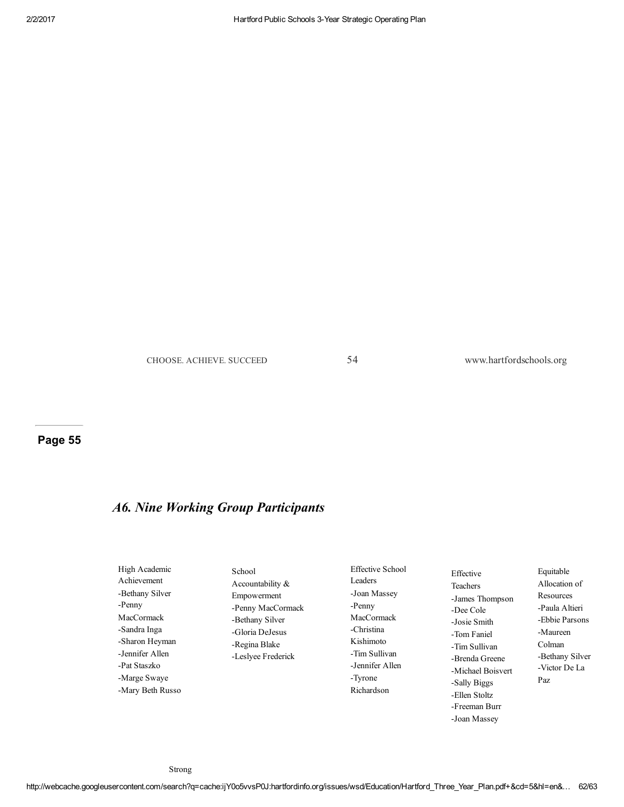CHOOSE. ACHIEVE. SUCCEED 54 www.hartfordschools.org

Joan Massey

## Page 55

## *A6. Nine Working Group Participants*

| High Academic<br>Achievement<br>-Bethany Silver<br>-Penny<br><b>MacCormack</b><br>-Sandra Inga<br>-Sharon Heyman<br>-Jennifer Allen<br>-Pat Staszko<br>-Marge Swaye<br>-Mary Beth Russo | School<br>Accountability &<br>Empowerment<br>-Penny MacCormack<br>-Bethany Silver<br>-Gloria DeJesus<br>-Regina Blake<br>-Leslyee Frederick | Effective School<br>Leaders<br>-Joan Massey<br>-Penny<br><b>MacCormack</b><br>-Christina<br>Kishimoto<br>-Tim Sullivan<br>-Jennifer Allen<br>-Tyrone<br>Richardson | Effective<br>Teachers<br>-James Thompson<br>-Dee Cole<br>-Josie Smith<br>-Tom Faniel<br>-Tim Sullivan<br>-Brenda Greene<br>-Michael Boisvert<br>-Sally Biggs<br>-Ellen Stoltz<br>-Freeman Burr | Equitable<br>Allocation of<br>Resources<br>-Paula Altieri<br>-Ebbie Parsons<br>-Maureen<br>Colman<br>-Bethany Silver<br>-Victor De La<br>Paz |
|-----------------------------------------------------------------------------------------------------------------------------------------------------------------------------------------|---------------------------------------------------------------------------------------------------------------------------------------------|--------------------------------------------------------------------------------------------------------------------------------------------------------------------|------------------------------------------------------------------------------------------------------------------------------------------------------------------------------------------------|----------------------------------------------------------------------------------------------------------------------------------------------|
|-----------------------------------------------------------------------------------------------------------------------------------------------------------------------------------------|---------------------------------------------------------------------------------------------------------------------------------------------|--------------------------------------------------------------------------------------------------------------------------------------------------------------------|------------------------------------------------------------------------------------------------------------------------------------------------------------------------------------------------|----------------------------------------------------------------------------------------------------------------------------------------------|